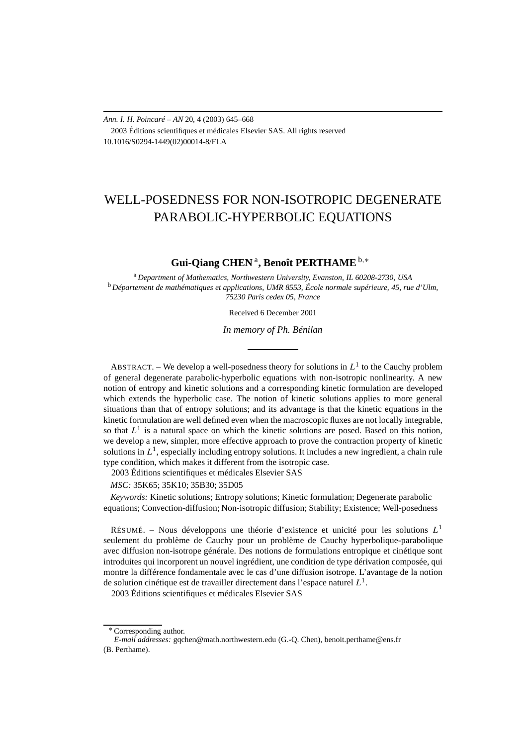*Ann. I. H. Poincaré – AN* 20, 4 (2003) 645–668 2003 Éditions scientifiques et médicales Elsevier SAS. All rights reserved 10.1016/S0294-1449(02)00014-8/FLA

# WELL-POSEDNESS FOR NON-ISOTROPIC DEGENERATE PARABOLIC-HYPERBOLIC EQUATIONS

# **Gui-Qiang CHEN** <sup>a</sup>**, Benoît PERTHAME** <sup>b</sup>*,*<sup>∗</sup>

<sup>a</sup> *Department of Mathematics, Northwestern University, Evanston, IL 60208-2730, USA* <sup>b</sup> *Département de mathématiques et applications, UMR 8553, École normale supérieure, 45, rue d'Ulm, 75230 Paris cedex 05, France*

Received 6 December 2001

*In memory of Ph. Bénilan*

ABSTRACT. – We develop a well-posedness theory for solutions in  $L^1$  to the Cauchy problem of general degenerate parabolic-hyperbolic equations with non-isotropic nonlinearity. A new notion of entropy and kinetic solutions and a corresponding kinetic formulation are developed which extends the hyperbolic case. The notion of kinetic solutions applies to more general situations than that of entropy solutions; and its advantage is that the kinetic equations in the kinetic formulation are well defined even when the macroscopic fluxes are not locally integrable, so that  $L^1$  is a natural space on which the kinetic solutions are posed. Based on this notion, we develop a new, simpler, more effective approach to prove the contraction property of kinetic solutions in  $L^1$ , especially including entropy solutions. It includes a new ingredient, a chain rule type condition, which makes it different from the isotropic case.

2003 Éditions scientifiques et médicales Elsevier SAS

*MSC:* 35K65; 35K10; 35B30; 35D05

*Keywords:* Kinetic solutions; Entropy solutions; Kinetic formulation; Degenerate parabolic equations; Convection-diffusion; Non-isotropic diffusion; Stability; Existence; Well-posedness

RÉSUMÉ. – Nous développons une théorie d'existence et unicité pour les solutions *L*<sup>1</sup> seulement du problème de Cauchy pour un problème de Cauchy hyperbolique-parabolique avec diffusion non-isotrope générale. Des notions de formulations entropique et cinétique sont introduites qui incorporent un nouvel ingrédient, une condition de type dérivation composée, qui montre la différence fondamentale avec le cas d'une diffusion isotrope. L'avantage de la notion de solution cinétique est de travailler directement dans l'espace naturel *L*1.

2003 Éditions scientifiques et médicales Elsevier SAS

<sup>∗</sup> Corresponding author.

*E-mail addresses:* gqchen@math.northwestern.edu (G.-Q. Chen), benoit.perthame@ens.fr (B. Perthame).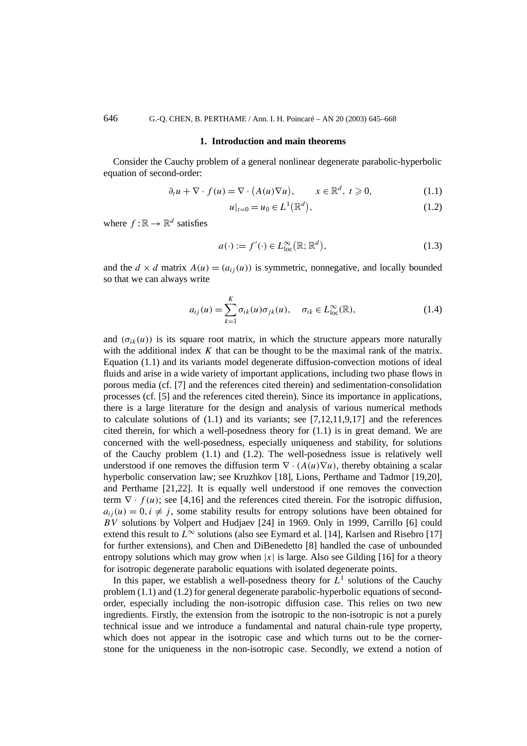#### **1. Introduction and main theorems**

Consider the Cauchy problem of a general nonlinear degenerate parabolic-hyperbolic equation of second-order:

$$
\partial_t u + \nabla \cdot f(u) = \nabla \cdot (A(u)\nabla u), \qquad x \in \mathbb{R}^d, \ t \geq 0,
$$
 (1.1)

$$
u|_{t=0} = u_0 \in L^1(\mathbb{R}^d), \tag{1.2}
$$

where  $f : \mathbb{R} \to \mathbb{R}^d$  satisfies

$$
a(\cdot) := f'(\cdot) \in L^{\infty}_{\text{loc}}(\mathbb{R}; \mathbb{R}^d), \tag{1.3}
$$

and the  $d \times d$  matrix  $A(u) = (a_{ij}(u))$  is symmetric, nonnegative, and locally bounded so that we can always write

$$
a_{ij}(u) = \sum_{k=1}^{K} \sigma_{ik}(u) \sigma_{jk}(u), \quad \sigma_{ik} \in L^{\infty}_{loc}(\mathbb{R}),
$$
 (1.4)

and  $(\sigma_{ik}(u))$  is its square root matrix, in which the structure appears more naturally with the additional index *K* that can be thought to be the maximal rank of the matrix. Equation (1.1) and its variants model degenerate diffusion-convection motions of ideal fluids and arise in a wide variety of important applications, including two phase flows in porous media (cf. [7] and the references cited therein) and sedimentation-consolidation processes (cf. [5] and the references cited therein). Since its importance in applications, there is a large literature for the design and analysis of various numerical methods to calculate solutions of  $(1.1)$  and its variants; see  $[7,12,11,9,17]$  and the references cited therein, for which a well-posedness theory for  $(1.1)$  is in great demand. We are concerned with the well-posedness, especially uniqueness and stability, for solutions of the Cauchy problem (1.1) and (1.2). The well-posedness issue is relatively well understood if one removes the diffusion term  $\nabla \cdot (A(u)\nabla u)$ , thereby obtaining a scalar hyperbolic conservation law; see Kruzhkov [18], Lions, Perthame and Tadmor [19,20], and Perthame [21,22]. It is equally well understood if one removes the convection term  $\nabla \cdot f(u)$ ; see [4,16] and the references cited therein. For the isotropic diffusion,  $a_{ij}(u) = 0, i \neq j$ , some stability results for entropy solutions have been obtained for *BV* solutions by Volpert and Hudjaev [24] in 1969. Only in 1999, Carrillo [6] could extend this result to  $L^{\infty}$  solutions (also see Eymard et al. [14], Karlsen and Risebro [17] for further extensions), and Chen and DiBenedetto [8] handled the case of unbounded entropy solutions which may grow when  $|x|$  is large. Also see Gilding [16] for a theory for isotropic degenerate parabolic equations with isolated degenerate points.

In this paper, we establish a well-posedness theory for  $L<sup>1</sup>$  solutions of the Cauchy problem (1.1) and (1.2) for general degenerate parabolic-hyperbolic equations of secondorder, especially including the non-isotropic diffusion case. This relies on two new ingredients. Firstly, the extension from the isotropic to the non-isotropic is not a purely technical issue and we introduce a fundamental and natural chain-rule type property, which does not appear in the isotropic case and which turns out to be the cornerstone for the uniqueness in the non-isotropic case. Secondly, we extend a notion of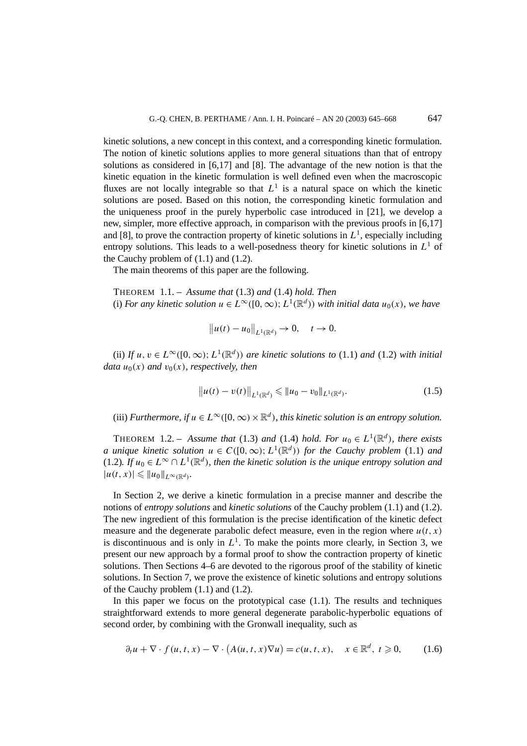kinetic solutions, a new concept in this context, and a corresponding kinetic formulation. The notion of kinetic solutions applies to more general situations than that of entropy solutions as considered in [6,17] and [8]. The advantage of the new notion is that the kinetic equation in the kinetic formulation is well defined even when the macroscopic fluxes are not locally integrable so that  $L<sup>1</sup>$  is a natural space on which the kinetic solutions are posed. Based on this notion, the corresponding kinetic formulation and the uniqueness proof in the purely hyperbolic case introduced in [21], we develop a new, simpler, more effective approach, in comparison with the previous proofs in [6,17] and [8], to prove the contraction property of kinetic solutions in  $L<sup>1</sup>$ , especially including entropy solutions. This leads to a well-posedness theory for kinetic solutions in  $L<sup>1</sup>$  of the Cauchy problem of  $(1.1)$  and  $(1.2)$ .

The main theorems of this paper are the following.

THEOREM 1.1. – *Assume that* (1.3) *and* (1.4) *hold. Then* (i) *For any kinetic solution*  $u \in L^{\infty}([0,\infty); L^{1}(\mathbb{R}^{d}))$  *with initial data*  $u_{0}(x)$ *, we have* 

$$
||u(t) - u_0||_{L^1(\mathbb{R}^d)} \to 0, \quad t \to 0.
$$

(ii) If  $u, v \in L^{\infty}([0, \infty); L^{1}(\mathbb{R}^{d}))$  *are kinetic solutions to* (1.1) *and* (1.2) *with initial data*  $u_0(x)$  *and*  $v_0(x)$ *, respectively, then* 

$$
\|u(t) - v(t)\|_{L^1(\mathbb{R}^d)} \leqslant \|u_0 - v_0\|_{L^1(\mathbb{R}^d)}.
$$
\n(1.5)

(iii) *Furthermore, if*  $u \in L^{\infty}([0,\infty) \times \mathbb{R}^d)$ *, this kinetic solution is an entropy solution.* 

THEOREM 1.2. – *Assume that* (1.3) *and* (1.4) *hold. For*  $u_0 \in L^1(\mathbb{R}^d)$ *, there exists a* unique kinetic solution  $u \in C([0,\infty); L^1(\mathbb{R}^d))$  for the Cauchy problem (1.1) and (1.2)*.* If  $u_0 \in L^\infty \cap L^1(\mathbb{R}^d)$ , then the kinetic solution is the unique entropy solution and  $|u(t, x)| \leqslant ||u_0||_{L^{\infty}(\mathbb{R}^d)}$ .

In Section 2, we derive a kinetic formulation in a precise manner and describe the notions of *entropy solutions* and *kinetic solutions* of the Cauchy problem (1.1) and (1.2). The new ingredient of this formulation is the precise identification of the kinetic defect measure and the degenerate parabolic defect measure, even in the region where  $u(t, x)$ is discontinuous and is only in  $L<sup>1</sup>$ . To make the points more clearly, in Section 3, we present our new approach by a formal proof to show the contraction property of kinetic solutions. Then Sections 4–6 are devoted to the rigorous proof of the stability of kinetic solutions. In Section 7, we prove the existence of kinetic solutions and entropy solutions of the Cauchy problem (1.1) and (1.2).

In this paper we focus on the prototypical case  $(1.1)$ . The results and techniques straightforward extends to more general degenerate parabolic-hyperbolic equations of second order, by combining with the Gronwall inequality, such as

$$
\partial_t u + \nabla \cdot f(u, t, x) - \nabla \cdot (A(u, t, x) \nabla u) = c(u, t, x), \quad x \in \mathbb{R}^d, \ t \geq 0,
$$
 (1.6)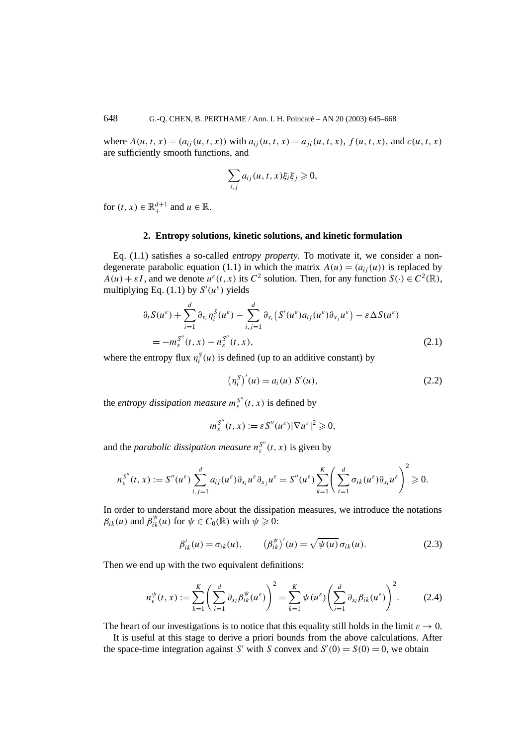where  $A(u, t, x) = (a_{ij}(u, t, x))$  with  $a_{ij}(u, t, x) = a_{ji}(u, t, x)$ ,  $f(u, t, x)$ , and  $c(u, t, x)$ are sufficiently smooth functions, and

$$
\sum_{i,j} a_{ij}(u,t,x)\xi_i\xi_j \geq 0,
$$

for  $(t, x) \in \mathbb{R}^{d+1}_+$  and  $u \in \mathbb{R}$ .

#### **2. Entropy solutions, kinetic solutions, and kinetic formulation**

Eq. (1.1) satisfies a so-called *entropy property*. To motivate it, we consider a nondegenerate parabolic equation (1.1) in which the matrix  $A(u) = (a_{ij}(u))$  is replaced by  $A(u) + \varepsilon I$ , and we denote  $u^{\varepsilon}(t, x)$  its  $C^2$  solution. Then, for any function  $S(\cdot) \in C^2(\mathbb{R})$ , multiplying Eq.  $(1.1)$  by  $S'(u^{\varepsilon})$  yields

$$
\partial_t S(u^{\varepsilon}) + \sum_{i=1}^d \partial_{x_i} \eta_i^S(u^{\varepsilon}) - \sum_{i,j=1}^d \partial_{x_i} (S'(u^{\varepsilon}) a_{ij}(u^{\varepsilon}) \partial_{x_j} u^{\varepsilon}) - \varepsilon \Delta S(u^{\varepsilon})
$$
  
= 
$$
-m_{\varepsilon}^{S''}(t, x) - n_{\varepsilon}^{S''}(t, x),
$$
 (2.1)

where the entropy flux  $\eta_i^S(u)$  is defined (up to an additive constant) by

$$
(\eta_i^S)'(u) = a_i(u) S'(u), \qquad (2.2)
$$

the *entropy dissipation measure*  $m_{\varepsilon}^{S''}(t, x)$  is defined by

$$
m_{\varepsilon}^{S''}(t,x) := \varepsilon S''(u^{\varepsilon}) |\nabla u^{\varepsilon}|^2 \geqslant 0,
$$

and the *parabolic dissipation measure*  $n_{\varepsilon}^{S''}(t, x)$  is given by

$$
n_{\varepsilon}^{S''}(t,x) := S''(u^{\varepsilon}) \sum_{i,j=1}^{d} a_{ij}(u^{\varepsilon}) \partial_{x_i} u^{\varepsilon} \partial_{x_j} u^{\varepsilon} = S''(u^{\varepsilon}) \sum_{k=1}^{K} \left( \sum_{i=1}^{d} \sigma_{ik}(u^{\varepsilon}) \partial_{x_i} u^{\varepsilon} \right)^2 \geq 0.
$$

In order to understand more about the dissipation measures, we introduce the notations  $\beta_{ik}(u)$  and  $\beta_{ik}^{\psi}(u)$  for  $\psi \in C_0(\mathbb{R})$  with  $\psi \geq 0$ :

$$
\beta'_{ik}(u) = \sigma_{ik}(u), \qquad (\beta_{ik}^{\psi})'(u) = \sqrt{\psi(u)} \sigma_{ik}(u). \qquad (2.3)
$$

Then we end up with the two equivalent definitions:

$$
n_{\varepsilon}^{\psi}(t,x) := \sum_{k=1}^{K} \left( \sum_{i=1}^{d} \partial_{x_i} \beta_{ik}^{\psi}(u^{\varepsilon}) \right)^2 = \sum_{k=1}^{K} \psi(u^{\varepsilon}) \left( \sum_{i=1}^{d} \partial_{x_i} \beta_{ik}(u^{\varepsilon}) \right)^2.
$$
 (2.4)

The heart of our investigations is to notice that this equality still holds in the limit  $\varepsilon \to 0$ .

It is useful at this stage to derive a priori bounds from the above calculations. After the space-time integration against *S'* with *S* convex and  $S'(0) = S(0) = 0$ , we obtain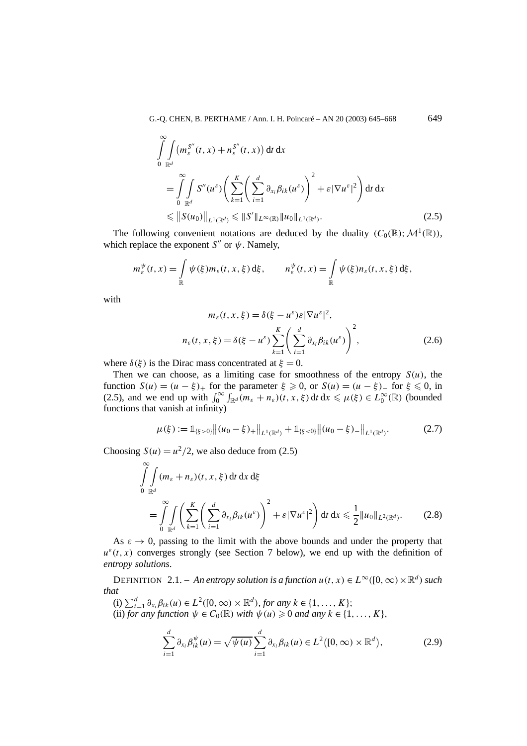$$
\int_{0}^{\infty} \int_{\mathbb{R}^{d}} (m_{\varepsilon}^{S''}(t, x) + n_{\varepsilon}^{S''}(t, x)) dt dx
$$
\n
$$
= \int_{0}^{\infty} \int_{\mathbb{R}^{d}} S''(u^{\varepsilon}) \left( \sum_{k=1}^{K} \left( \sum_{i=1}^{d} \partial_{x_{i}} \beta_{ik}(u^{\varepsilon}) \right)^{2} + \varepsilon |\nabla u^{\varepsilon}|^{2} \right) dt dx
$$
\n
$$
\leq \| S(u_{0}) \|_{L^{1}(\mathbb{R}^{d})} \leq \| S' \|_{L^{\infty}(\mathbb{R})} \| u_{0} \|_{L^{1}(\mathbb{R}^{d})}.
$$
\n(2.5)

The following convenient notations are deduced by the duality  $(C_0(\mathbb{R}); \mathcal{M}^1(\mathbb{R}))$ , which replace the exponent  $S''$  or  $\psi$ . Namely,

$$
m_{\varepsilon}^{\psi}(t,x) = \int_{\mathbb{R}} \psi(\xi) m_{\varepsilon}(t,x,\xi) d\xi, \qquad n_{\varepsilon}^{\psi}(t,x) = \int_{\mathbb{R}} \psi(\xi) n_{\varepsilon}(t,x,\xi) d\xi,
$$

with

$$
m_{\varepsilon}(t, x, \xi) = \delta(\xi - u^{\varepsilon})\varepsilon |\nabla u^{\varepsilon}|^2,
$$
  

$$
n_{\varepsilon}(t, x, \xi) = \delta(\xi - u^{\varepsilon}) \sum_{k=1}^{K} \left( \sum_{i=1}^{d} \partial_{x_i} \beta_{ik}(u^{\varepsilon}) \right)^2,
$$
 (2.6)

where  $\delta(\xi)$  is the Dirac mass concentrated at  $\xi = 0$ .

Then we can choose, as a limiting case for smoothness of the entropy  $S(u)$ , the function  $S(u) = (u - \xi)_+$  for the parameter  $\xi \ge 0$ , or  $S(u) = (u - \xi)_-$  for  $\xi \le 0$ , in (2.5), and we end up with  $\int_0^\infty \int_{\mathbb{R}^d} (m_{\varepsilon} + n_{\varepsilon})(t, x, \xi) dt dx \le \mu(\xi) \in L_0^\infty(\mathbb{R})$  (bounded functions that vanish at infinity)

$$
\mu(\xi) := \mathbb{1}_{\{\xi > 0\}} \|(u_0 - \xi)_+\|_{L^1(\mathbb{R}^d)} + \mathbb{1}_{\{\xi < 0\}} \|(u_0 - \xi)_-\|_{L^1(\mathbb{R}^d)}.
$$
\n(2.7)

Choosing  $S(u) = u^2/2$ , we also deduce from (2.5)

$$
\int_{0}^{\infty} \int_{\mathbb{R}^{d}} (m_{\varepsilon} + n_{\varepsilon})(t, x, \xi) dt dx d\xi
$$
\n
$$
= \int_{0}^{\infty} \int_{\mathbb{R}^{d}} \left( \sum_{k=1}^{K} \left( \sum_{i=1}^{d} \partial_{x_{i}} \beta_{ik}(u^{\varepsilon}) \right)^{2} + \varepsilon |\nabla u^{\varepsilon}|^{2} \right) dt dx \leq \frac{1}{2} ||u_{0}||_{L^{2}(\mathbb{R}^{d})}. \tag{2.8}
$$

As  $\varepsilon \to 0$ , passing to the limit with the above bounds and under the property that  $u^{\varepsilon}(t, x)$  converges strongly (see Section 7 below), we end up with the definition of *entropy solutions*.

DEFINITION 2.1. – *An entropy solution is a function*  $u(t, x) \in L^{\infty}([0, \infty) \times \mathbb{R}^d)$  *such that*

 $(i)$   $\sum_{i=1}^{d} \partial_{x_i} \beta_{ik} (u) \in L^2([0, \infty) \times \mathbb{R}^d)$ , for any  $k \in \{1, ..., K\};$ (ii) *for any function*  $\psi \in C_0(\mathbb{R})$  *with*  $\psi(u) \geq 0$  *and any*  $k \in \{1, \ldots, K\}$ ,

$$
\sum_{i=1}^{d} \partial_{x_i} \beta_{ik}^{\psi}(u) = \sqrt{\psi(u)} \sum_{i=1}^{d} \partial_{x_i} \beta_{ik}(u) \in L^2([0, \infty) \times \mathbb{R}^d), \tag{2.9}
$$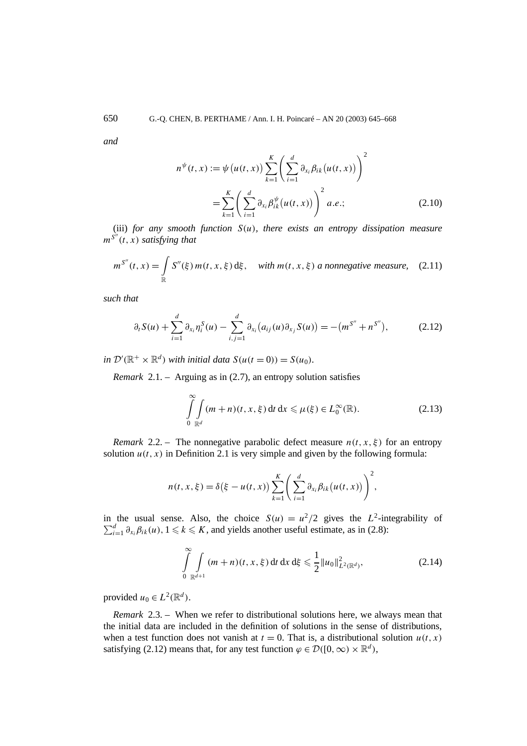*and*

$$
n^{\psi}(t, x) := \psi(u(t, x)) \sum_{k=1}^{K} \left( \sum_{i=1}^{d} \partial_{x_i} \beta_{ik}(u(t, x)) \right)^2
$$
  
= 
$$
\sum_{k=1}^{K} \left( \sum_{i=1}^{d} \partial_{x_i} \beta_{ik}^{\psi}(u(t, x)) \right)^2 a.e.;
$$
 (2.10)

(iii) *for any smooth function S(u), there exists an entropy dissipation measure m<sup>S</sup> (t, x) satisfying that*

$$
m^{S''}(t, x) = \int_{\mathbb{R}} S''(\xi) m(t, x, \xi) d\xi, \quad \text{with } m(t, x, \xi) \text{ a nonnegative measure,} \quad (2.11)
$$

*such that*

$$
\partial_t S(u) + \sum_{i=1}^d \partial_{x_i} \eta_i^S(u) - \sum_{i,j=1}^d \partial_{x_i} (a_{ij}(u) \partial_{x_j} S(u)) = -(m^{S''} + n^{S''}), \qquad (2.12)
$$

*in*  $\mathcal{D}'(\mathbb{R}^+ \times \mathbb{R}^d)$  *with initial data*  $S(u(t=0)) = S(u_0)$ *.* 

*Remark* 2.1. – Arguing as in (2.7), an entropy solution satisfies

$$
\int_{0}^{\infty} \int_{\mathbb{R}^d} (m+n)(t, x, \xi) dt dx \le \mu(\xi) \in L_0^{\infty}(\mathbb{R}).
$$
\n(2.13)

*Remark* 2.2. – The nonnegative parabolic defect measure  $n(t, x, \xi)$  for an entropy solution  $u(t, x)$  in Definition 2.1 is very simple and given by the following formula:

$$
n(t, x, \xi) = \delta(\xi - u(t, x)) \sum_{k=1}^{K} \left( \sum_{i=1}^{d} \partial_{x_i} \beta_{ik} (u(t, x)) \right)^2,
$$

in the usual sense. Also, the choice  $S(u) = u^2/2$  gives the *L*<sup>2</sup>-integrability of  $\sum_{i=1}^d \partial_{x_i} \beta_{ik}(u)$ ,  $1 \leq k \leq K$ , and yields another useful estimate, as in (2.8):

$$
\int_{0}^{\infty} \int_{\mathbb{R}^{d+1}} (m+n)(t, x, \xi) dt dx d\xi \leq \frac{1}{2} ||u_0||^2_{L^2(\mathbb{R}^d)},
$$
\n(2.14)

provided  $u_0 \in L^2(\mathbb{R}^d)$ .

*Remark* 2.3. – When we refer to distributional solutions here, we always mean that the initial data are included in the definition of solutions in the sense of distributions, when a test function does not vanish at  $t = 0$ . That is, a distributional solution  $u(t, x)$ satisfying (2.12) means that, for any test function  $\varphi \in \mathcal{D}([0,\infty) \times \mathbb{R}^d)$ ,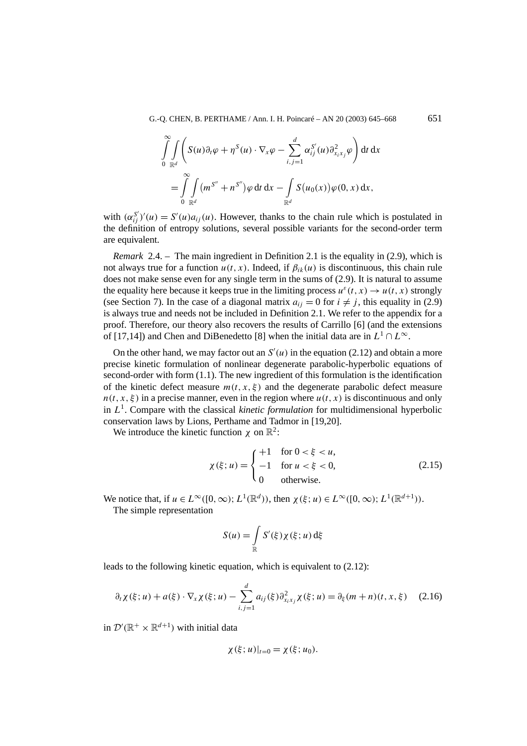$$
\int_{0}^{\infty} \int_{\mathbb{R}^d} \left( S(u) \partial_t \varphi + \eta^S(u) \cdot \nabla_x \varphi - \sum_{i,j=1}^d \alpha_{ij}^{S'}(u) \partial_{x_i x_j}^2 \varphi \right) dt dx
$$
  
= 
$$
\int_{0}^{\infty} \int_{\mathbb{R}^d} (m^{S''} + n^{S''}) \varphi dt dx - \int_{\mathbb{R}^d} S(u_0(x)) \varphi(0, x) dx,
$$

with  $(\alpha_{ij}^{S'})'(u) = S'(u)a_{ij}(u)$ . However, thanks to the chain rule which is postulated in the definition of entropy solutions, several possible variants for the second-order term are equivalent.

*Remark* 2.4. – The main ingredient in Definition 2.1 is the equality in (2.9), which is not always true for a function  $u(t, x)$ . Indeed, if  $\beta_{ik}(u)$  is discontinuous, this chain rule does not make sense even for any single term in the sums of (2.9). It is natural to assume the equality here because it keeps true in the limiting process  $u^{\epsilon}(t, x) \rightarrow u(t, x)$  strongly (see Section 7). In the case of a diagonal matrix  $a_{ij} = 0$  for  $i \neq j$ , this equality in (2.9) is always true and needs not be included in Definition 2.1. We refer to the appendix for a proof. Therefore, our theory also recovers the results of Carrillo [6] (and the extensions of [17,14]) and Chen and DiBenedetto [8] when the initial data are in  $L^1 \cap L^\infty$ .

On the other hand, we may factor out an  $S'(u)$  in the equation (2.12) and obtain a more precise kinetic formulation of nonlinear degenerate parabolic-hyperbolic equations of second-order with form (1.1). The new ingredient of this formulation is the identification of the kinetic defect measure  $m(t, x, \xi)$  and the degenerate parabolic defect measure  $n(t, x, \xi)$  in a precise manner, even in the region where  $u(t, x)$  is discontinuous and only in  $L<sup>1</sup>$ . Compare with the classical *kinetic formulation* for multidimensional hyperbolic conservation laws by Lions, Perthame and Tadmor in [19,20].

We introduce the kinetic function  $\chi$  on  $\mathbb{R}^2$ :

$$
\chi(\xi; u) = \begin{cases}\n+1 & \text{for } 0 < \xi < u, \\
-1 & \text{for } u < \xi < 0, \\
0 & \text{otherwise.}\n\end{cases}\n\tag{2.15}
$$

We notice that, if  $u \in L^{\infty}([0,\infty); L^{1}(\mathbb{R}^{d}))$ , then  $\chi(\xi;u) \in L^{\infty}([0,\infty); L^{1}(\mathbb{R}^{d+1}))$ .

The simple representation

$$
S(u) = \int_{\mathbb{R}} S'(\xi) \chi(\xi; u) d\xi
$$

leads to the following kinetic equation, which is equivalent to (2.12):

$$
\partial_t \chi(\xi; u) + a(\xi) \cdot \nabla_x \chi(\xi; u) - \sum_{i,j=1}^d a_{ij}(\xi) \partial_{x_i x_j}^2 \chi(\xi; u) = \partial_{\xi} (m+n)(t, x, \xi) \tag{2.16}
$$

in  $\mathcal{D}'(\mathbb{R}^+ \times \mathbb{R}^{d+1})$  with initial data

$$
\chi(\xi;u)|_{t=0}=\chi(\xi;u_0).
$$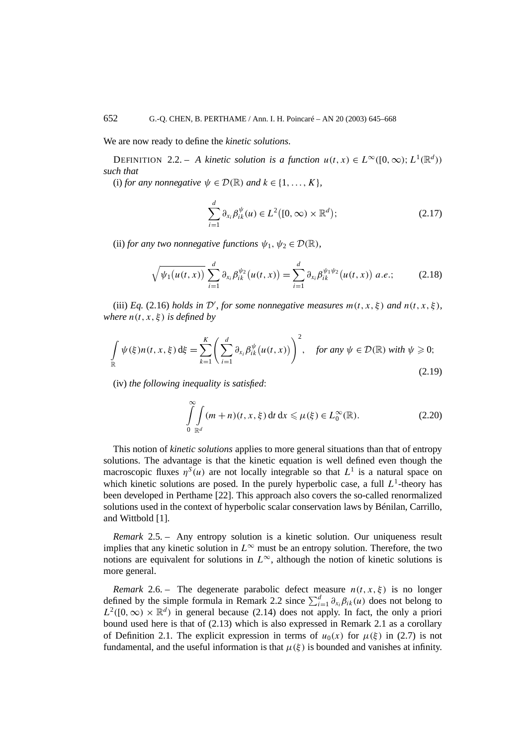We are now ready to define the *kinetic solutions*.

DEFINITION 2.2. – *A kinetic solution is a function*  $u(t, x) \in L^{\infty}([0, \infty); L^{1}(\mathbb{R}^{d}))$ *such that*

(i) *for any nonnegative*  $\psi \in \mathcal{D}(\mathbb{R})$  *and*  $k \in \{1, \ldots, K\}$ ,

$$
\sum_{i=1}^{d} \partial_{x_i} \beta_{ik}^{\psi}(u) \in L^2([0,\infty) \times \mathbb{R}^d);
$$
 (2.17)

(ii) *for any two nonnegative functions*  $\psi_1, \psi_2 \in \mathcal{D}(\mathbb{R})$ *,* 

$$
\sqrt{\psi_1(u(t,x))}\sum_{i=1}^d \partial_{x_i}\beta_{ik}^{\psi_2}(u(t,x)) = \sum_{i=1}^d \partial_{x_i}\beta_{ik}^{\psi_1\psi_2}(u(t,x))\ a.e.;\tag{2.18}
$$

(iii) *Eq.* (2.16) *holds in*  $\mathcal{D}'$ *, for some nonnegative measures*  $m(t, x, \xi)$  *and*  $n(t, x, \xi)$ *, where*  $n(t, x, \xi)$  *is defined by* 

$$
\int_{\mathbb{R}} \psi(\xi) n(t, x, \xi) d\xi = \sum_{k=1}^{K} \left( \sum_{i=1}^{d} \partial_{x_i} \beta_{ik}^{\psi} (u(t, x)) \right)^2, \quad \text{for any } \psi \in \mathcal{D}(\mathbb{R}) \text{ with } \psi \ge 0;
$$
\n(2.19)

(iv) *the following inequality is satisfied*:

$$
\int_{0}^{\infty} \int_{\mathbb{R}^d} (m+n)(t, x, \xi) dt dx \le \mu(\xi) \in L_0^{\infty}(\mathbb{R}).
$$
\n(2.20)

This notion of *kinetic solutions* applies to more general situations than that of entropy solutions. The advantage is that the kinetic equation is well defined even though the macroscopic fluxes  $\eta^s(u)$  are not locally integrable so that  $L^1$  is a natural space on which kinetic solutions are posed. In the purely hyperbolic case, a full  $L^1$ -theory has been developed in Perthame [22]. This approach also covers the so-called renormalized solutions used in the context of hyperbolic scalar conservation laws by Bénilan, Carrillo, and Wittbold [1].

*Remark* 2.5. – Any entropy solution is a kinetic solution. Our uniqueness result implies that any kinetic solution in  $L^\infty$  must be an entropy solution. Therefore, the two notions are equivalent for solutions in  $L^\infty$ , although the notion of kinetic solutions is more general.

*Remark* 2.6. – The degenerate parabolic defect measure  $n(t, x, \xi)$  is no longer defined by the simple formula in Remark 2.2 since  $\sum_{i=1}^{d} \partial_{x_i} \beta_{ik}(u)$  does not belong to  $L^2([0,\infty) \times \mathbb{R}^d)$  in general because (2.14) does not apply. In fact, the only a priori bound used here is that of (2.13) which is also expressed in Remark 2.1 as a corollary of Definition 2.1. The explicit expression in terms of  $u_0(x)$  for  $\mu(\xi)$  in (2.7) is not fundamental, and the useful information is that  $\mu(\xi)$  is bounded and vanishes at infinity.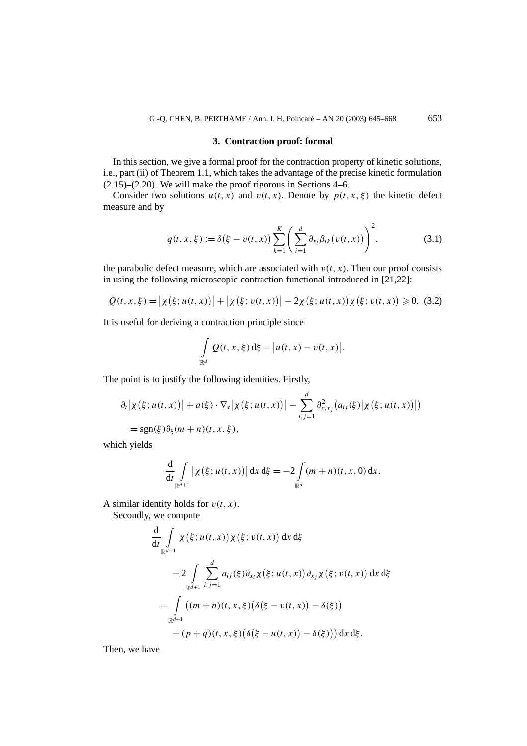#### **3. Contraction proof: formal**

In this section, we give a formal proof for the contraction property of kinetic solutions, i.e., part (ii) of Theorem 1.1, which takes the advantage of the precise kinetic formulation (2.15)–(2.20). We will make the proof rigorous in Sections 4–6.

Consider two solutions  $u(t, x)$  and  $v(t, x)$ . Denote by  $p(t, x, \xi)$  the kinetic defect measure and by

$$
q(t, x, \xi) := \delta(\xi - v(t, x)) \sum_{k=1}^{K} \left( \sum_{i=1}^{d} \partial_{x_i} \beta_{ik} (v(t, x)) \right)^2, \tag{3.1}
$$

the parabolic defect measure, which are associated with  $v(t, x)$ . Then our proof consists in using the following microscopic contraction functional introduced in [21,22]:

$$
Q(t, x, \xi) = |\chi(\xi; u(t, x))| + |\chi(\xi; v(t, x))| - 2\chi(\xi; u(t, x))\chi(\xi; v(t, x)) \ge 0. \tag{3.2}
$$

It is useful for deriving a contraction principle since

$$
\int_{\mathbb{R}^d} Q(t, x, \xi) \, \mathrm{d}\xi = \big| u(t, x) - v(t, x) \big|.
$$

The point is to justify the following identities. Firstly,

$$
\partial_t |\chi(\xi; u(t, x))| + a(\xi) \cdot \nabla_x |\chi(\xi; u(t, x))| - \sum_{i,j=1}^d \partial_{x_i x_j}^2 (a_{ij}(\xi) |\chi(\xi; u(t, x))|)
$$
  
= sgn(\xi) \partial\_{\xi} (m+n)(t, x, \xi),

which yields

$$
\frac{\mathrm{d}}{\mathrm{d}t} \int\limits_{\mathbb{R}^{d+1}} \left| \chi \left( \xi; u(t, x) \right) \right| \mathrm{d}x \, \mathrm{d}\xi = -2 \int\limits_{\mathbb{R}^d} (m+n)(t, x, 0) \, \mathrm{d}x.
$$

A similar identity holds for  $v(t, x)$ .

Secondly, we compute

$$
\frac{d}{dt} \int_{\mathbb{R}^{d+1}} \chi(\xi; u(t, x)) \chi(\xi; v(t, x)) dx d\xi
$$
\n
$$
+ 2 \int_{\mathbb{R}^{d+1}} \sum_{i,j=1}^d a_{ij}(\xi) \partial_{x_i} \chi(\xi; u(t, x)) \partial_{x_j} \chi(\xi; v(t, x)) dx d\xi
$$
\n
$$
= \int_{\mathbb{R}^{d+1}} ((m+n)(t, x, \xi) (\delta(\xi - v(t, x)) - \delta(\xi))
$$
\n
$$
+ (p+q)(t, x, \xi) (\delta(\xi - u(t, x)) - \delta(\xi)) dx d\xi.
$$

Then, we have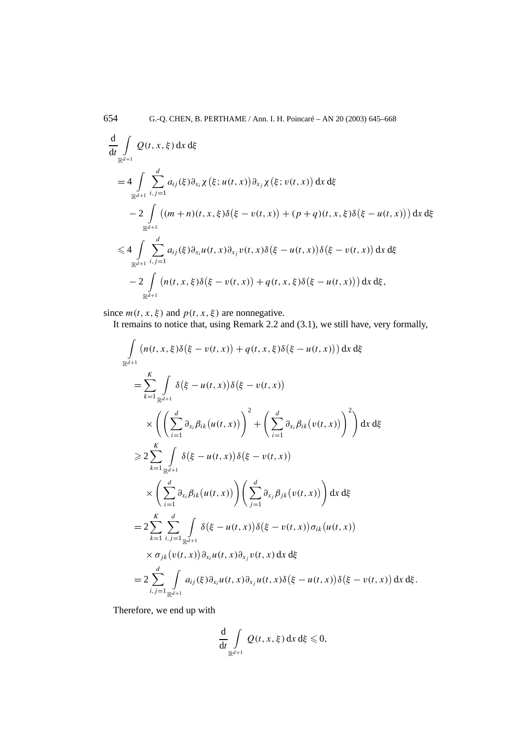$$
\frac{d}{dt} \int_{\mathbb{R}^{d+1}} Q(t, x, \xi) dx d\xi
$$
\n
$$
= 4 \int_{\mathbb{R}^{d+1}} \sum_{i,j=1}^{d} a_{ij}(\xi) \partial_{x_i} \chi(\xi; u(t, x)) \partial_{x_j} \chi(\xi; v(t, x)) dx d\xi
$$
\n
$$
- 2 \int_{\mathbb{R}^{d+1}} ((m+n)(t, x, \xi) \delta(\xi - v(t, x)) + (p+q)(t, x, \xi) \delta(\xi - u(t, x))) dx d\xi
$$
\n
$$
\leq 4 \int_{\mathbb{R}^{d+1}} \sum_{i,j=1}^{d} a_{ij}(\xi) \partial_{x_i} u(t, x) \partial_{x_j} v(t, x) \delta(\xi - u(t, x)) \delta(\xi - v(t, x)) dx d\xi
$$
\n
$$
- 2 \int_{\mathbb{R}^{d+1}} (n(t, x, \xi) \delta(\xi - v(t, x)) + q(t, x, \xi) \delta(\xi - u(t, x))) dx d\xi,
$$

since  $m(t, x, \xi)$  and  $p(t, x, \xi)$  are nonnegative.

It remains to notice that, using Remark 2.2 and (3.1), we still have, very formally,

$$
\int_{\mathbb{R}^{d+1}} (n(t, x, \xi) \delta(\xi - v(t, x)) + q(t, x, \xi) \delta(\xi - u(t, x))) dx d\xi
$$
\n
$$
= \sum_{k=1}^{K} \int_{\mathbb{R}^{d+1}} \delta(\xi - u(t, x)) \delta(\xi - v(t, x))
$$
\n
$$
\times \left( \left( \sum_{i=1}^{d} \partial_{x_i} \beta_{ik}(u(t, x)) \right)^2 + \left( \sum_{i=1}^{d} \partial_{x_i} \beta_{ik}(v(t, x)) \right)^2 \right) dx d\xi
$$
\n
$$
\geq 2 \sum_{k=1}^{K} \int_{\mathbb{R}^{d+1}} \delta(\xi - u(t, x)) \delta(\xi - v(t, x))
$$
\n
$$
\times \left( \sum_{i=1}^{d} \partial_{x_i} \beta_{ik}(u(t, x)) \right) \left( \sum_{j=1}^{d} \partial_{x_j} \beta_{jk}(v(t, x)) \right) dx d\xi
$$
\n
$$
= 2 \sum_{k=1}^{K} \sum_{i,j=1}^{d} \int_{\mathbb{R}^{d+1}} \delta(\xi - u(t, x)) \delta(\xi - v(t, x)) \sigma_{ik}(u(t, x))
$$
\n
$$
\times \sigma_{jk}(v(t, x)) \partial_{x_i} u(t, x) \partial_{x_j} v(t, x) dx d\xi
$$
\n
$$
= 2 \sum_{i,j=1}^{d} \int_{\mathbb{R}^{d+1}} a_{ij}(\xi) \partial_{x_i} u(t, x) \partial_{x_j} u(t, x) \delta(\xi - u(t, x)) \delta(\xi - v(t, x)) dx d\xi.
$$

Therefore, we end up with

$$
\frac{\mathrm{d}}{\mathrm{d}t} \int\limits_{\mathbb{R}^{d+1}} Q(t, x, \xi) \,\mathrm{d}x \,\mathrm{d}\xi \leq 0,
$$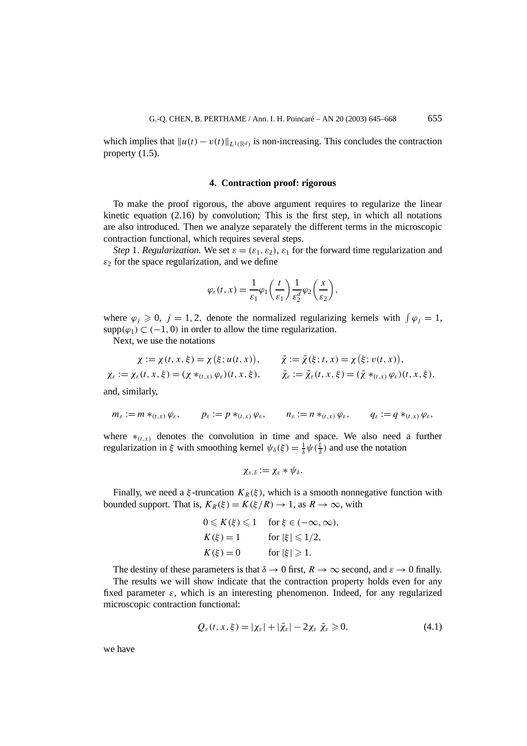which implies that  $||u(t) - v(t)||_{L^1(\mathbb{R}^d)}$  is non-increasing. This concludes the contraction property (1.5).

#### **4. Contraction proof: rigorous**

To make the proof rigorous, the above argument requires to regularize the linear kinetic equation  $(2.16)$  by convolution; This is the first step, in which all notations are also introduced. Then we analyze separately the different terms in the microscopic contraction functional, which requires several steps.

*Step* 1*. Regularization.* We set  $\varepsilon = (\varepsilon_1, \varepsilon_2)$ ,  $\varepsilon_1$  for the forward time regularization and  $\varepsilon_2$  for the space regularization, and we define

$$
\varphi_{\varepsilon}(t,x) = \frac{1}{\varepsilon_1} \varphi_1\bigg(\frac{t}{\varepsilon_1}\bigg) \frac{1}{\varepsilon_2^d} \varphi_2\bigg(\frac{x}{\varepsilon_2}\bigg),
$$

where  $\varphi_j \geq 0$ ,  $j = 1, 2$ , denote the normalized regularizing kernels with  $\int \varphi_j = 1$ , supp $(\varphi_1) \subset (-1, 0)$  in order to allow the time regularization.

Next, we use the notations

$$
\chi := \chi(t, x, \xi) = \chi(\xi; u(t, x)), \qquad \tilde{\chi} := \tilde{\chi}(\xi; t, x) = \chi(\xi; v(t, x)),
$$
  

$$
\chi_{\varepsilon} := \chi_{\varepsilon}(t, x, \xi) = (\chi *_{(t, x)} \varphi_{\varepsilon})(t, x, \xi), \qquad \tilde{\chi}_{\varepsilon} := \tilde{\chi}_{\varepsilon}(t, x, \xi) = (\tilde{\chi} *_{(t, x)} \varphi_{\varepsilon})(t, x, \xi),
$$

and, similarly,

$$
m_{\varepsilon} := m *_{(t,x)} \varphi_{\varepsilon}, \qquad p_{\varepsilon} := p *_{(t,x)} \varphi_{\varepsilon}, \qquad n_{\varepsilon} := n *_{(t,x)} \varphi_{\varepsilon}, \qquad q_{\varepsilon} := q *_{(t,x)} \varphi_{\varepsilon},
$$

where  $*_{(t,x)}$  denotes the convolution in time and space. We also need a further regularization in *ξ* with smoothing kernel  $\psi_{\delta}(\xi) = \frac{1}{\delta} \psi(\frac{\xi}{\delta})$  and use the notation

$$
\chi_{\varepsilon,\delta}:=\chi_{\varepsilon}\ast\psi_{\delta}.
$$

Finally, we need a  $\xi$ -truncation  $K_R(\xi)$ , which is a smooth nonnegative function with bounded support. That is,  $K_R(\xi) = K(\xi/R) \rightarrow 1$ , as  $R \rightarrow \infty$ , with

$$
0 \leq K(\xi) \leq 1 \quad \text{for } \xi \in (-\infty, \infty),
$$
  
\n
$$
K(\xi) = 1 \quad \text{for } |\xi| \leq 1/2,
$$
  
\n
$$
K(\xi) = 0 \quad \text{for } |\xi| \geq 1.
$$

The destiny of these parameters is that  $\delta \to 0$  first,  $R \to \infty$  second, and  $\varepsilon \to 0$  finally. The results we will show indicate that the contraction property holds even for any fixed parameter *ε*, which is an interesting phenomenon. Indeed, for any regularized microscopic contraction functional:

$$
Q_{\varepsilon}(t, x, \xi) = |\chi_{\varepsilon}| + |\tilde{\chi}_{\varepsilon}| - 2\chi_{\varepsilon} \tilde{\chi}_{\varepsilon} \geqslant 0, \tag{4.1}
$$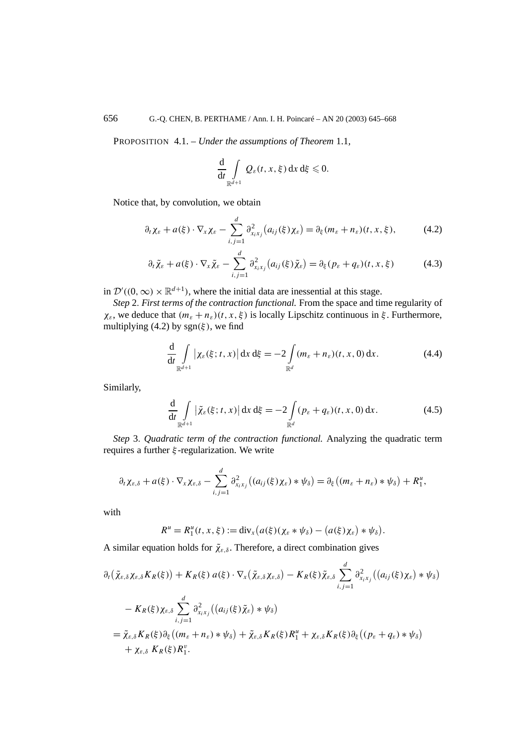PROPOSITION 4.1. – *Under the assumptions of Theorem* 1.1*,*

$$
\frac{\mathrm{d}}{\mathrm{d}t}\int\limits_{\mathbb{R}^{d+1}}\mathcal{Q}_{\varepsilon}(t,x,\xi)\,\mathrm{d}x\,\mathrm{d}\xi\leqslant 0.
$$

Notice that, by convolution, we obtain

$$
\partial_t \chi_{\varepsilon} + a(\xi) \cdot \nabla_x \chi_{\varepsilon} - \sum_{i,j=1}^d \partial_{x_i x_j}^2 (a_{ij}(\xi) \chi_{\varepsilon}) = \partial_{\xi} (m_{\varepsilon} + n_{\varepsilon}) (t, x, \xi), \tag{4.2}
$$

$$
\partial_t \tilde{\chi}_{\varepsilon} + a(\xi) \cdot \nabla_x \tilde{\chi}_{\varepsilon} - \sum_{i,j=1}^d \partial_{x_i x_j}^2 (a_{ij}(\xi) \tilde{\chi}_{\varepsilon}) = \partial_{\xi} (p_{\varepsilon} + q_{\varepsilon}) (t, x, \xi) \tag{4.3}
$$

in  $\mathcal{D}'((0,\infty) \times \mathbb{R}^{d+1})$ , where the initial data are inessential at this stage.

*Step* 2*. First terms of the contraction functional.* From the space and time regularity of  $\chi_{\varepsilon}$ , we deduce that  $(m_{\varepsilon} + n_{\varepsilon})(t, x, \xi)$  is locally Lipschitz continuous in  $\xi$ . Furthermore, multiplying (4.2) by  $sgn(\xi)$ , we find

$$
\frac{\mathrm{d}}{\mathrm{d}t} \int\limits_{\mathbb{R}^{d+1}} \left| \chi_{\varepsilon}(\xi; t, x) \right| \mathrm{d}x \, \mathrm{d}\xi = -2 \int\limits_{\mathbb{R}^d} (m_{\varepsilon} + n_{\varepsilon})(t, x, 0) \, \mathrm{d}x. \tag{4.4}
$$

Similarly,

$$
\frac{\mathrm{d}}{\mathrm{d}t} \int\limits_{\mathbb{R}^{d+1}} |\tilde{\chi}_{\varepsilon}(\xi; t, x)| \,\mathrm{d}x \,\mathrm{d}\xi = -2 \int\limits_{\mathbb{R}^d} (p_{\varepsilon} + q_{\varepsilon})(t, x, 0) \,\mathrm{d}x. \tag{4.5}
$$

*Step* 3*. Quadratic term of the contraction functional.* Analyzing the quadratic term requires a further *ξ* -regularization. We write

$$
\partial_t \chi_{\varepsilon,\delta} + a(\xi) \cdot \nabla_x \chi_{\varepsilon,\delta} - \sum_{i,j=1}^d \partial_{x_i x_j}^2 ((a_{ij}(\xi) \chi_{\varepsilon}) * \psi_{\delta}) = \partial_{\xi} ((m_{\varepsilon} + n_{\varepsilon}) * \psi_{\delta}) + R_1^u,
$$

with

$$
R^u = R_1^u(t, x, \xi) := \text{div}_x\big(a(\xi)(\chi_{\varepsilon} * \psi_{\delta}) - \big(a(\xi)\chi_{\varepsilon}\big) * \psi_{\delta}\big).
$$

A similar equation holds for  $\tilde{\chi}_{\varepsilon,\delta}$ . Therefore, a direct combination gives

$$
\partial_t (\tilde{\chi}_{\varepsilon,\delta} \chi_{\varepsilon,\delta} K_R(\xi)) + K_R(\xi) a(\xi) \cdot \nabla_x (\tilde{\chi}_{\varepsilon,\delta} \chi_{\varepsilon,\delta}) - K_R(\xi) \tilde{\chi}_{\varepsilon,\delta} \sum_{i,j=1}^d \partial_{x_i x_j}^2 ((a_{ij}(\xi) \chi_{\varepsilon}) * \psi_{\delta})
$$
  
\n
$$
- K_R(\xi) \chi_{\varepsilon,\delta} \sum_{i,j=1}^d \partial_{x_i x_j}^2 ((a_{ij}(\xi) \tilde{\chi}_{\varepsilon}) * \psi_{\delta})
$$
  
\n
$$
= \tilde{\chi}_{\varepsilon,\delta} K_R(\xi) \partial_{\xi} ((m_{\varepsilon} + n_{\varepsilon}) * \psi_{\delta}) + \tilde{\chi}_{\varepsilon,\delta} K_R(\xi) R_1^u + \chi_{\varepsilon,\delta} K_R(\xi) \partial_{\xi} ((p_{\varepsilon} + q_{\varepsilon}) * \psi_{\delta})
$$
  
\n
$$
+ \chi_{\varepsilon,\delta} K_R(\xi) R_1^v.
$$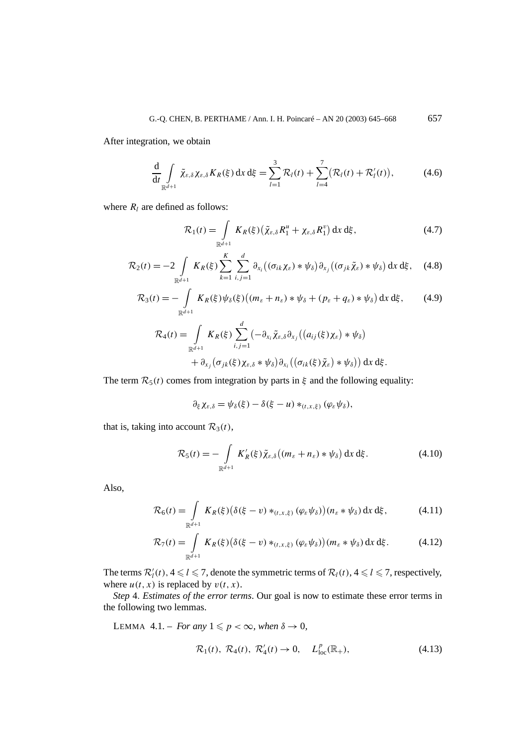After integration, we obtain

$$
\frac{\mathrm{d}}{\mathrm{d}t} \int\limits_{\mathbb{R}^{d+1}} \tilde{\chi}_{\varepsilon,\delta} \chi_{\varepsilon,\delta} K_R(\xi) \,\mathrm{d}x \,\mathrm{d}\xi = \sum_{l=1}^3 \mathcal{R}_l(t) + \sum_{l=4}^7 \bigl(\mathcal{R}_l(t) + \mathcal{R}'_l(t)\bigr),\tag{4.6}
$$

where  $R_l$  are defined as follows:

$$
\mathcal{R}_1(t) = \int\limits_{\mathbb{R}^{d+1}} K_R(\xi) \left( \tilde{\chi}_{\varepsilon,\delta} R_1^u + \chi_{\varepsilon,\delta} R_1^v \right) dx d\xi, \tag{4.7}
$$

$$
\mathcal{R}_2(t) = -2 \int\limits_{\mathbb{R}^{d+1}} K_R(\xi) \sum_{k=1}^K \sum_{i,j=1}^d \partial_{x_i} \big( (\sigma_{ik} \chi_{\varepsilon}) * \psi_{\delta} \big) \partial_{x_j} \big( (\sigma_{jk} \tilde{\chi}_{\varepsilon}) * \psi_{\delta} \big) \, \mathrm{d}x \, \mathrm{d}\xi, \tag{4.8}
$$

$$
\mathcal{R}_3(t) = -\int_{\mathbb{R}^{d+1}} K_R(\xi) \psi_\delta(\xi) \left( (m_\varepsilon + n_\varepsilon) * \psi_\delta + (p_\varepsilon + q_\varepsilon) * \psi_\delta \right) dx d\xi, \qquad (4.9)
$$
  

$$
\mathcal{R}_4(t) = \int K_R(\xi) \sum_{i=1}^d \left( -\partial_{x_i} \tilde{\chi}_{\varepsilon,\delta} \partial_{x_i} \left( (a_{ij}(\xi) \chi_\varepsilon) * \psi_\delta \right) \right)
$$

$$
0 = \int_{\mathbb{R}^{d+1}} K_R(\xi) \sum_{i,j=1} (-\partial_{x_i} \tilde{\chi}_{\varepsilon,\delta} \partial_{x_j} ((a_{ij}(\xi) \chi_{\varepsilon}) * \psi_{\delta}) + \partial_{x_j} (\sigma_{jk}(\xi) \chi_{\varepsilon,\delta} * \psi_{\delta}) \partial_{x_i} ((\sigma_{ik}(\xi) \tilde{\chi}_{\varepsilon}) * \psi_{\delta})) \, dx \, d\xi.
$$

The term  $\mathcal{R}_5(t)$  comes from integration by parts in  $\xi$  and the following equality:

$$
\partial_{\xi} \chi_{\varepsilon,\delta} = \psi_{\delta}(\xi) - \delta(\xi - u) *_{(t,x,\xi)} (\varphi_{\varepsilon} \psi_{\delta}),
$$

that is, taking into account  $\mathcal{R}_3(t)$ ,

$$
\mathcal{R}_5(t) = -\int\limits_{\mathbb{R}^{d+1}} K'_R(\xi) \tilde{\chi}_{\varepsilon,\delta} \big( (m_\varepsilon + n_\varepsilon) * \psi_\delta \big) \, \mathrm{d}x \, \mathrm{d}\xi. \tag{4.10}
$$

Also,

$$
\mathcal{R}_6(t) = \int\limits_{\mathbb{R}^{d+1}} K_R(\xi) \big( \delta(\xi - v) *_{(t,x,\xi)} (\varphi_\varepsilon \psi_\delta) \big) (n_\varepsilon * \psi_\delta) \, dx \, d\xi, \tag{4.11}
$$

$$
\mathcal{R}_7(t) = \int\limits_{\mathbb{R}^{d+1}} K_R(\xi) \big( \delta(\xi - v) *_{(t,x,\xi)} (\varphi_\varepsilon \psi_\delta) \big) (m_\varepsilon * \psi_\delta) \, dx \, d\xi. \tag{4.12}
$$

The terms  $\mathcal{R}'_l(t)$ ,  $4 \leq l \leq 7$ , denote the symmetric terms of  $\mathcal{R}_l(t)$ ,  $4 \leq l \leq 7$ , respectively, where  $u(t, x)$  is replaced by  $v(t, x)$ .

*Step* 4*. Estimates of the error terms*. Our goal is now to estimate these error terms in the following two lemmas.

LEMMA 4.1. – *For any*  $1 \leq p < \infty$ *, when*  $\delta \to 0$ *,* 

$$
\mathcal{R}_1(t), \ \mathcal{R}_4(t), \ \mathcal{R}_4'(t) \to 0, \quad L_{\text{loc}}^p(\mathbb{R}_+), \tag{4.13}
$$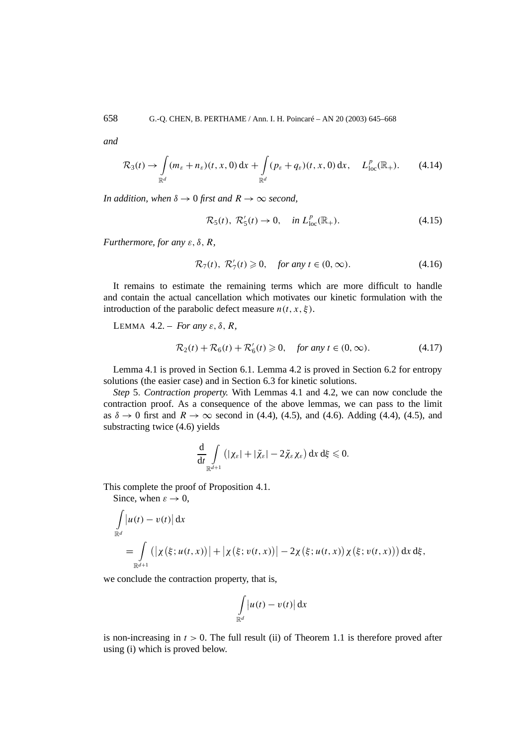*and*

$$
\mathcal{R}_3(t) \to \int\limits_{\mathbb{R}^d} (m_{\varepsilon} + n_{\varepsilon})(t, x, 0) \, \mathrm{d}x + \int\limits_{\mathbb{R}^d} (p_{\varepsilon} + q_{\varepsilon})(t, x, 0) \, \mathrm{d}x, \quad L^p_{\text{loc}}(\mathbb{R}_+). \tag{4.14}
$$

*In addition, when*  $\delta \rightarrow 0$  *first and*  $R \rightarrow \infty$  *second,* 

$$
\mathcal{R}_5(t), \ \mathcal{R}'_5(t) \to 0, \quad \text{in } L^p_{\text{loc}}(\mathbb{R}_+). \tag{4.15}
$$

*Furthermore, for any ε, δ, R,*

$$
\mathcal{R}_7(t), \ \mathcal{R}_7'(t) \ge 0, \quad \text{for any } t \in (0, \infty). \tag{4.16}
$$

It remains to estimate the remaining terms which are more difficult to handle and contain the actual cancellation which motivates our kinetic formulation with the introduction of the parabolic defect measure  $n(t, x, \xi)$ .

LEMMA 4.2. – *For any ε, δ, R,*

$$
\mathcal{R}_2(t) + \mathcal{R}_6(t) + \mathcal{R}_6'(t) \ge 0, \quad \text{for any } t \in (0, \infty). \tag{4.17}
$$

Lemma 4.1 is proved in Section 6.1. Lemma 4.2 is proved in Section 6.2 for entropy solutions (the easier case) and in Section 6.3 for kinetic solutions.

*Step* 5*. Contraction property.* With Lemmas 4.1 and 4.2, we can now conclude the contraction proof. As a consequence of the above lemmas, we can pass to the limit as  $\delta \to 0$  first and  $R \to \infty$  second in (4.4), (4.5), and (4.6). Adding (4.4), (4.5), and substracting twice (4.6) yields

$$
\frac{\mathrm{d}}{\mathrm{d}t}\int\limits_{\mathbb{R}^{d+1}}\left(|\chi_{\varepsilon}|+|\tilde{\chi}_{\varepsilon}|-2\tilde{\chi}_{\varepsilon}\chi_{\varepsilon}\right)\mathrm{d}x\,\mathrm{d}\xi\leqslant 0.
$$

This complete the proof of Proposition 4.1.

Since, when  $\varepsilon \to 0$ ,

$$
\int_{\mathbb{R}^{d}} |u(t) - v(t)| dx
$$
\n
$$
= \int_{\mathbb{R}^{d+1}} (|\chi(\xi; u(t, x))| + |\chi(\xi; v(t, x))| - 2\chi(\xi; u(t, x))\chi(\xi; v(t, x))) dx d\xi,
$$

we conclude the contraction property, that is,

$$
\int\limits_{\mathbb{R}^d}\bigl|u(t)-v(t)\bigr|\,\mathrm{d} x
$$

is non-increasing in  $t > 0$ . The full result (ii) of Theorem 1.1 is therefore proved after using (i) which is proved below.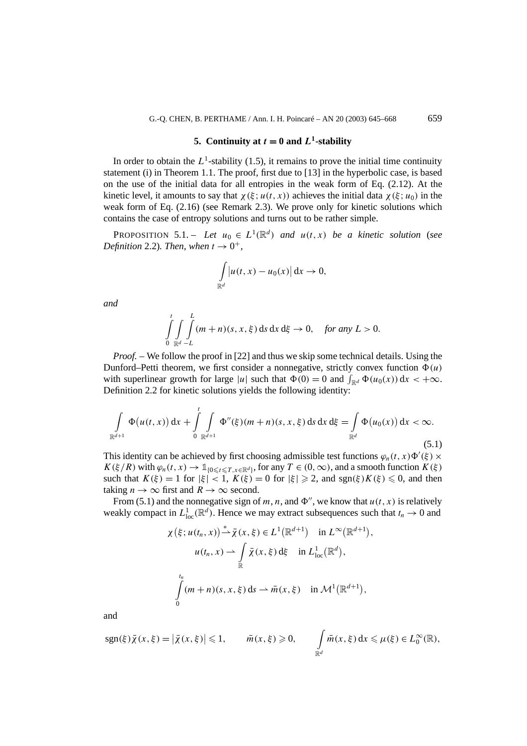## **5.** Continuity at  $t = 0$  and  $L^1$ -stability

In order to obtain the  $L^1$ -stability (1.5), it remains to prove the initial time continuity statement (i) in Theorem 1.1. The proof, first due to [13] in the hyperbolic case, is based on the use of the initial data for all entropies in the weak form of Eq. (2.12). At the kinetic level, it amounts to say that  $\chi(\xi; u(t, x))$  achieves the initial data  $\chi(\xi; u_0)$  in the weak form of Eq. (2.16) (see Remark 2.3). We prove only for kinetic solutions which contains the case of entropy solutions and turns out to be rather simple.

PROPOSITION 5.1. – *Let*  $u_0 \in L^1(\mathbb{R}^d)$  *and*  $u(t, x)$  *be a kinetic solution (see Definition* 2.2)*. Then, when*  $t \rightarrow 0^+$ *,* 

$$
\int_{\mathbb{R}^d} \left| u(t, x) - u_0(x) \right| \mathrm{d}x \to 0,
$$

*and*

$$
\int\limits_{0}^{t}\int\limits_{\mathbb{R}^d}\int\limits_{-L}^{L}(m+n)(s,x,\xi)\,ds\,dx\,d\xi\to 0,\quad \text{for any }L>0.
$$

*Proof. –* We follow the proof in [22] and thus we skip some technical details. Using the Dunford–Petti theorem, we first consider a nonnegative, strictly convex function  $\Phi(u)$ with superlinear growth for large |*u*| such that  $\Phi(0) = 0$  and  $\int_{\mathbb{R}^d} \Phi(u_0(x)) dx < +\infty$ . Definition 2.2 for kinetic solutions yields the following identity:

$$
\int_{\mathbb{R}^{d+1}} \Phi(u(t,x)) dx + \int_{0}^{t} \int_{\mathbb{R}^{d+1}} \Phi''(\xi)(m+n)(s,x,\xi) ds dx d\xi = \int_{\mathbb{R}^{d}} \Phi(u_0(x)) dx < \infty.
$$
\n(5.1)

This identity can be achieved by first choosing admissible test functions  $\varphi_n(t, x) \Phi'(\xi) \times$  $K(\xi/R)$  with  $\varphi_n(t, x) \to \mathbb{1}_{\{0 \le t \le T, x \in \mathbb{R}^d\}}$ , for any  $T \in (0, \infty)$ , and a smooth function  $K(\xi)$ such that  $K(\xi) = 1$  for  $|\xi| < 1$ ,  $K(\xi) = 0$  for  $|\xi| \ge 2$ , and sgn $(\xi)K(\xi) \le 0$ , and then taking  $n \to \infty$  first and  $R \to \infty$  second.

From (5.1) and the nonnegative sign of *m*, *n*, and  $\Phi''$ , we know that  $u(t, x)$  is relatively weakly compact in  $L^1_{loc}(\mathbb{R}^d)$ . Hence we may extract subsequences such that  $t_n \to 0$  and

$$
\chi(\xi; u(t_n, x)) \stackrel{*}{\rightharpoonup} \bar{\chi}(x, \xi) \in L^1(\mathbb{R}^{d+1}) \quad \text{in } L^{\infty}(\mathbb{R}^{d+1}),
$$

$$
u(t_n, x) \rightharpoonup \int_{\mathbb{R}} \bar{\chi}(x, \xi) \,d\xi \quad \text{in } L^1_{\text{loc}}(\mathbb{R}^d),
$$

$$
\int_{0}^{t_n} (m+n)(s, x, \xi) \,ds \rightharpoonup \bar{m}(x, \xi) \quad \text{in } \mathcal{M}^1(\mathbb{R}^{d+1}),
$$

and

$$
sgn(\xi)\overline{\chi}(x,\xi) = |\overline{\chi}(x,\xi)| \leq 1, \qquad \overline{m}(x,\xi) \geq 0, \qquad \int_{\mathbb{R}^d} \overline{m}(x,\xi) dx \leq \mu(\xi) \in L_0^{\infty}(\mathbb{R}),
$$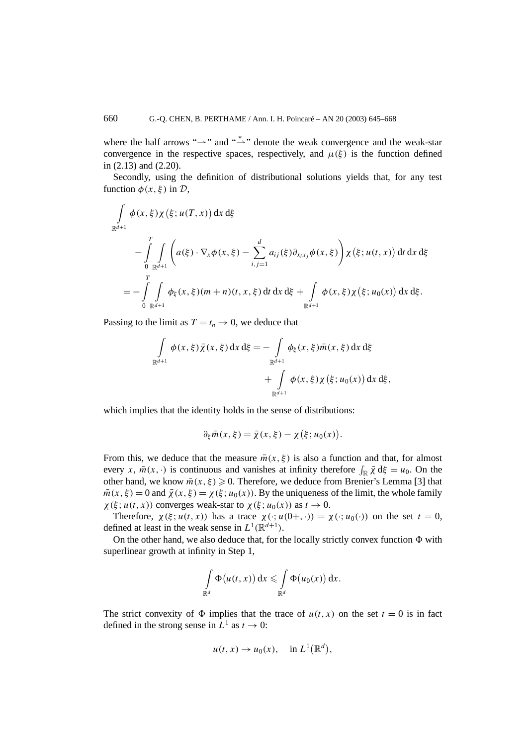where the half arrows " $\rightarrow$ " and " $\stackrel{*}{\rightarrow}$ " denote the weak convergence and the weak-star convergence in the respective spaces, respectively, and  $\mu(\xi)$  is the function defined in (2.13) and (2.20).

Secondly, using the definition of distributional solutions yields that, for any test function  $\phi(x, \xi)$  in  $\mathcal{D}$ ,

$$
\int_{\mathbb{R}^{d+1}} \phi(x,\xi) \chi(\xi; u(T,x)) \, dx \, d\xi
$$
\n
$$
- \int_{0}^{T} \int_{\mathbb{R}^{d+1}} \left( a(\xi) \cdot \nabla_x \phi(x,\xi) - \sum_{i,j=1}^{d} a_{ij}(\xi) \partial_{x_i x_j} \phi(x,\xi) \right) \chi(\xi; u(t,x)) \, dt \, dx \, d\xi
$$
\n
$$
= - \int_{0}^{T} \int_{\mathbb{R}^{d+1}} \phi_{\xi}(x,\xi) (m+n)(t,x,\xi) \, dt \, dx \, d\xi + \int_{\mathbb{R}^{d+1}} \phi(x,\xi) \chi(\xi; u_0(x)) \, dx \, d\xi.
$$

Passing to the limit as  $T = t_n \rightarrow 0$ , we deduce that

$$
\int_{\mathbb{R}^{d+1}} \phi(x,\xi) \bar{\chi}(x,\xi) dx d\xi = - \int_{\mathbb{R}^{d+1}} \phi_{\xi}(x,\xi) \bar{m}(x,\xi) dx d\xi \n+ \int_{\mathbb{R}^{d+1}} \phi(x,\xi) \chi(\xi;u_0(x)) dx d\xi,
$$

which implies that the identity holds in the sense of distributions:

$$
\partial_{\xi} \bar{m}(x,\xi) = \bar{\chi}(x,\xi) - \chi(\xi;u_0(x)).
$$

From this, we deduce that the measure  $\bar{m}(x, \xi)$  is also a function and that, for almost every *x*,  $\bar{m}(x, \cdot)$  is continuous and vanishes at infinity therefore  $\int_{\mathbb{R}} \bar{\chi} d\xi = u_0$ . On the other hand, we know  $\bar{m}(x, \xi) \ge 0$ . Therefore, we deduce from Brenier's Lemma [3] that  $\overline{m}(x, \xi) = 0$  and  $\overline{\chi}(x, \xi) = \chi(\xi; u_0(x))$ . By the uniqueness of the limit, the whole family  $\chi(\xi; u(t, x))$  converges weak-star to  $\chi(\xi; u_0(x))$  as  $t \to 0$ .

Therefore,  $\chi(\xi; u(t, x))$  has a trace  $\chi(\cdot; u(0+, \cdot)) = \chi(\cdot; u_0(\cdot))$  on the set  $t = 0$ , defined at least in the weak sense in  $L^1(\mathbb{R}^{d+1})$ .

On the other hand, we also deduce that, for the locally strictly convex function  $\Phi$  with superlinear growth at infinity in Step 1,

$$
\int_{\mathbb{R}^d} \Phi(u(t,x)) dx \leqslant \int_{\mathbb{R}^d} \Phi(u_0(x)) dx.
$$

The strict convexity of  $\Phi$  implies that the trace of  $u(t, x)$  on the set  $t = 0$  is in fact defined in the strong sense in  $\bar{L}^1$  as  $t \to 0$ :

$$
u(t,x) \to u_0(x), \quad \text{in } L^1(\mathbb{R}^d),
$$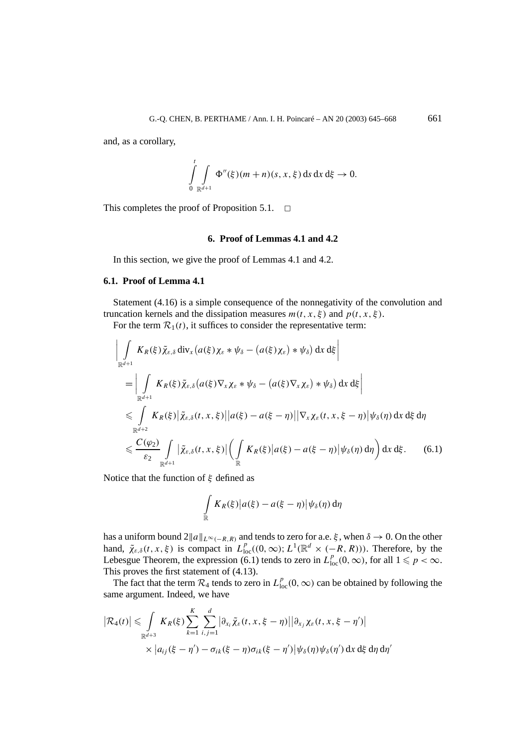and, as a corollary,

$$
\int_{0}^{t} \int_{\mathbb{R}^{d+1}} \Phi''(\xi)(m+n)(s,x,\xi) \, ds \, dx \, d\xi \to 0.
$$

This completes the proof of Proposition 5.1.  $\Box$ 

### **6. Proof of Lemmas 4.1 and 4.2**

In this section, we give the proof of Lemmas 4.1 and 4.2.

#### **6.1. Proof of Lemma 4.1**

Statement (4.16) is a simple consequence of the nonnegativity of the convolution and truncation kernels and the dissipation measures  $m(t, x, \xi)$  and  $p(t, x, \xi)$ .

For the term  $\mathcal{R}_1(t)$ , it suffices to consider the representative term:

$$
\left| \int_{\mathbb{R}^{d+1}} K_R(\xi) \tilde{\chi}_{\varepsilon,\delta} \operatorname{div}_x \left( a(\xi) \chi_{\varepsilon} * \psi_{\delta} - \left( a(\xi) \chi_{\varepsilon} \right) * \psi_{\delta} \right) \mathrm{d}x \, \mathrm{d}\xi \right|
$$
\n
$$
= \left| \int_{\mathbb{R}^{d+1}} K_R(\xi) \tilde{\chi}_{\varepsilon,\delta} \left( a(\xi) \nabla_x \chi_{\varepsilon} * \psi_{\delta} - \left( a(\xi) \nabla_x \chi_{\varepsilon} \right) * \psi_{\delta} \right) \mathrm{d}x \, \mathrm{d}\xi \right|
$$
\n
$$
\leq \int_{\mathbb{R}^{d+2}} K_R(\xi) \left| \tilde{\chi}_{\varepsilon,\delta}(t,x,\xi) \right| \left| a(\xi) - a(\xi - \eta) \right| \left| \nabla_x \chi_{\varepsilon}(t,x,\xi - \eta) \right| \psi_{\delta}(\eta) \, \mathrm{d}x \, \mathrm{d}\xi \, \mathrm{d}\eta
$$
\n
$$
\leq \frac{C(\varphi_2)}{\varepsilon_2} \int_{\mathbb{R}^{d+1}} \left| \tilde{\chi}_{\varepsilon,\delta}(t,x,\xi) \right| \left( \int_{\mathbb{R}} K_R(\xi) \left| a(\xi) - a(\xi - \eta) \right| \psi_{\delta}(\eta) \, \mathrm{d}\eta \right) \mathrm{d}x \, \mathrm{d}\xi. \tag{6.1}
$$

Notice that the function of *ξ* defined as

$$
\int\limits_{\mathbb{R}} K_R(\xi) \big| a(\xi) - a(\xi - \eta) \big| \psi_\delta(\eta) d\eta
$$

has a uniform bound  $2||a||_{L^{\infty}(-R,R)}$  and tends to zero for a.e.  $\xi$ , when  $\delta \to 0$ . On the other hand,  $\tilde{\chi}_{\varepsilon,\delta}(t, x, \xi)$  is compact in  $L_{\text{loc}}^p((0, \infty); L^1(\mathbb{R}^d \times (-R, R)))$ . Therefore, by the Lebesgue Theorem, the expression (6.1) tends to zero in  $L_{loc}^p(0, \infty)$ , for all  $1 \leq p < \infty$ . This proves the first statement of (4.13).

The fact that the term  $\mathcal{R}_4$  tends to zero in  $L_{loc}^p(0,\infty)$  can be obtained by following the same argument. Indeed, we have

$$
\left|\mathcal{R}_4(t)\right| \leq \int\limits_{\mathbb{R}^{d+3}} K_R(\xi) \sum\limits_{k=1}^K \sum\limits_{i,j=1}^d \left|\partial_{x_i} \tilde{\chi}_{\varepsilon}(t,x,\xi-\eta)\right| \left|\partial_{x_j} \chi_{\varepsilon}(t,x,\xi-\eta')\right|
$$
  
 
$$
\times \left|a_{ij}(\xi-\eta')-\sigma_{ik}(\xi-\eta)\sigma_{ik}(\xi-\eta')\right| \psi_{\delta}(\eta) \psi_{\delta}(\eta') \, dx \, d\xi \, d\eta \, d\eta'
$$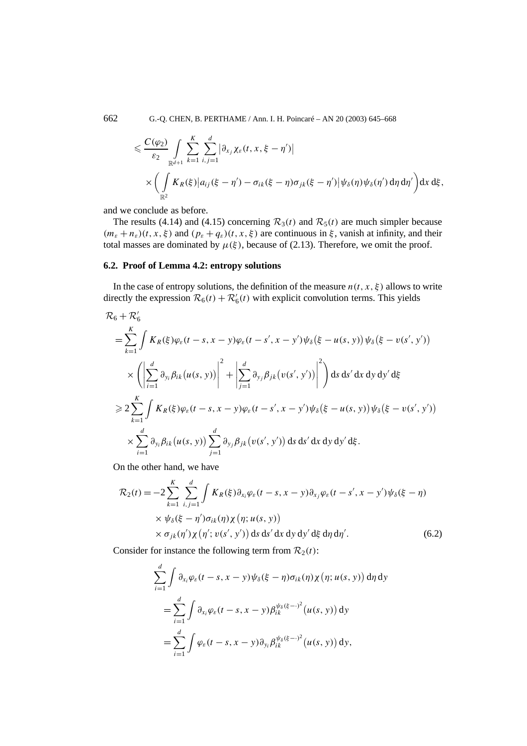$$
\leq \frac{C(\varphi_2)}{\varepsilon_2} \int\limits_{\mathbb{R}^{d+1}} \sum_{k=1}^K \sum_{i,j=1}^d \left| \partial_{x_j} \chi_{\varepsilon}(t, x, \xi - \eta') \right|
$$
  
 
$$
\times \left( \int\limits_{\mathbb{R}^2} K_R(\xi) \left| a_{ij} (\xi - \eta') - \sigma_{ik} (\xi - \eta) \sigma_{jk} (\xi - \eta') \right| \psi_{\delta}(\eta) \psi_{\delta}(\eta') d\eta d\eta' \right) dx d\xi,
$$

and we conclude as before.

The results (4.14) and (4.15) concerning  $\mathcal{R}_3(t)$  and  $\mathcal{R}_5(t)$  are much simpler because  $(m_{\varepsilon} + n_{\varepsilon})(t, x, \xi)$  and  $(p_{\varepsilon} + q_{\varepsilon})(t, x, \xi)$  are continuous in  $\xi$ , vanish at infinity, and their total masses are dominated by  $\mu(\xi)$ , because of (2.13). Therefore, we omit the proof.

#### **6.2. Proof of Lemma 4.2: entropy solutions**

In the case of entropy solutions, the definition of the measure  $n(t, x, \xi)$  allows to write directly the expression  $\mathcal{R}_6(t) + \mathcal{R}'_6(t)$  with explicit convolution terms. This yields

$$
\mathcal{R}_{6} + \mathcal{R}'_{6}
$$
\n
$$
= \sum_{k=1}^{K} \int K_{R}(\xi) \varphi_{\varepsilon}(t-s, x-y) \varphi_{\varepsilon}(t-s', x-y') \psi_{\delta}(\xi-u(s, y)) \psi_{\delta}(\xi-v(s', y'))
$$
\n
$$
\times \left( \left| \sum_{i=1}^{d} \partial_{y_{i}} \beta_{ik}(u(s, y)) \right|^{2} + \left| \sum_{j=1}^{d} \partial_{y_{j}} \beta_{jk}(v(s', y')) \right|^{2} \right) ds ds' dx dy dy' d\xi
$$
\n
$$
\geq 2 \sum_{k=1}^{K} \int K_{R}(\xi) \varphi_{\varepsilon}(t-s, x-y) \varphi_{\varepsilon}(t-s', x-y') \psi_{\delta}(\xi-u(s, y)) \psi_{\delta}(\xi-v(s', y'))
$$
\n
$$
\times \sum_{i=1}^{d} \partial_{y_{i}} \beta_{ik}(u(s, y)) \sum_{j=1}^{d} \partial_{y_{j}} \beta_{jk}(v(s', y')) ds ds' dx dy dy' d\xi.
$$

On the other hand, we have

$$
\mathcal{R}_2(t) = -2 \sum_{k=1}^K \sum_{i,j=1}^d \int K_R(\xi) \partial_{x_i} \varphi_{\varepsilon}(t-s, x-y) \partial_{x_j} \varphi_{\varepsilon}(t-s', x-y') \psi_{\delta}(\xi-\eta)
$$
  
 
$$
\times \psi_{\delta}(\xi-\eta') \sigma_{ik}(\eta) \chi(\eta; u(s, y))
$$
  
 
$$
\times \sigma_{jk}(\eta') \chi(\eta'; v(s', y')) \, ds \, ds' \, dx \, dy \, dy' \, d\xi \, d\eta \, d\eta'.
$$
 (6.2)

Consider for instance the following term from  $\mathcal{R}_2(t)$ :

$$
\sum_{i=1}^{d} \int \partial_{x_i} \varphi_{\varepsilon}(t-s, x-y) \psi_{\delta}(\xi-\eta) \sigma_{ik}(\eta) \chi(\eta; u(s, y)) d\eta dy
$$
  
= 
$$
\sum_{i=1}^{d} \int \partial_{x_i} \varphi_{\varepsilon}(t-s, x-y) \beta_{ik}^{\psi_{\delta}(\xi-\cdot)^2}(u(s, y)) dy
$$
  
= 
$$
\sum_{i=1}^{d} \int \varphi_{\varepsilon}(t-s, x-y) \partial_{y_i} \beta_{ik}^{\psi_{\delta}(\xi-\cdot)^2}(u(s, y)) dy,
$$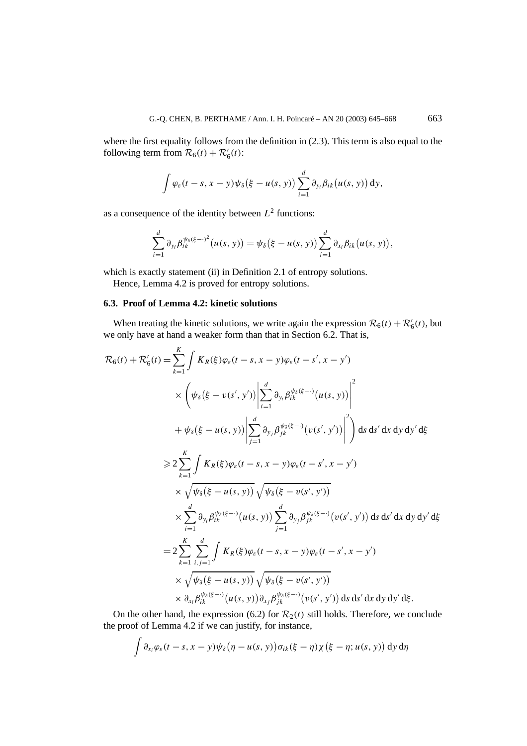where the first equality follows from the definition in (2.3). This term is also equal to the following term from  $\mathcal{R}_6(t) + \mathcal{R}'_6(t)$ :

$$
\int \varphi_{\varepsilon}(t-s,x-y)\psi_{\delta}(\xi-u(s,y))\sum_{i=1}^d \partial_{y_i}\beta_{ik}(u(s,y))\,dy,
$$

as a consequence of the identity between  $L^2$  functions:

$$
\sum_{i=1}^d \partial_{y_i} \beta_{ik}^{\psi_\delta(\xi-\cdot)^2}(u(s, y)) = \psi_\delta(\xi - u(s, y)) \sum_{i=1}^d \partial_{x_i} \beta_{ik}(u(s, y)),
$$

which is exactly statement (ii) in Definition 2.1 of entropy solutions.

Hence, Lemma 4.2 is proved for entropy solutions.

## **6.3. Proof of Lemma 4.2: kinetic solutions**

When treating the kinetic solutions, we write again the expression  $\mathcal{R}_6(t) + \mathcal{R}'_6(t)$ , but we only have at hand a weaker form than that in Section 6.2. That is,

$$
\mathcal{R}_{6}(t) + \mathcal{R}'_{6}(t) = \sum_{k=1}^{K} \int K_{R}(\xi) \varphi_{\varepsilon}(t-s, x-y) \varphi_{\varepsilon}(t-s', x-y')
$$
\n
$$
\times \left( \psi_{\delta}(\xi - v(s', y')) \left| \sum_{i=1}^{d} \partial_{y_{i}} \beta_{ik}^{\psi_{\delta}(\xi - \cdot)}(u(s, y)) \right|^{2} + \psi_{\delta}(\xi - u(s, y)) \left| \sum_{j=1}^{d} \partial_{y_{j}} \beta_{jk}^{\psi_{\delta}(\xi - \cdot)}(v(s', y')) \right|^{2} \right) ds ds' dx dy dy' d\xi
$$
\n
$$
\geq 2 \sum_{k=1}^{K} \int K_{R}(\xi) \varphi_{\varepsilon}(t-s, x-y) \varphi_{\varepsilon}(t-s', x-y')
$$
\n
$$
\times \sqrt{\psi_{\delta}(\xi - u(s, y))} \sqrt{\psi_{\delta}(\xi - v(s', y'))}
$$
\n
$$
\times \sum_{i=1}^{d} \partial_{y_{i}} \beta_{ik}^{\psi_{\delta}(\xi - \cdot)}(u(s, y)) \sum_{j=1}^{d} \partial_{y_{j}} \beta_{jk}^{\psi_{\delta}(\xi - \cdot)}(v(s', y')) ds ds' dx dy dy' d\xi
$$
\n
$$
= 2 \sum_{k=1}^{K} \sum_{i, j=1}^{d} \int K_{R}(\xi) \varphi_{\varepsilon}(t-s, x-y) \varphi_{\varepsilon}(t-s', x-y')
$$
\n
$$
\times \sqrt{\psi_{\delta}(\xi - u(s, y))} \sqrt{\psi_{\delta}(\xi - v(s', y'))}
$$
\n
$$
\times \partial_{x_{i}} \beta_{ik}^{\psi_{\delta}(\xi - \cdot)}(u(s, y)) \partial_{x_{j}} \beta_{jk}^{\psi_{\delta}(\xi - \cdot)}(v(s', y')) ds ds' dx dy dy' d\xi.
$$

On the other hand, the expression (6.2) for  $\mathcal{R}_2(t)$  still holds. Therefore, we conclude the proof of Lemma 4.2 if we can justify, for instance,

$$
\int \partial_{x_i} \varphi_{\varepsilon}(t-s, x-y) \psi_{\delta}(\eta - u(s, y)) \sigma_{ik}(\xi - \eta) \chi(\xi - \eta; u(s, y)) \, dy \, d\eta
$$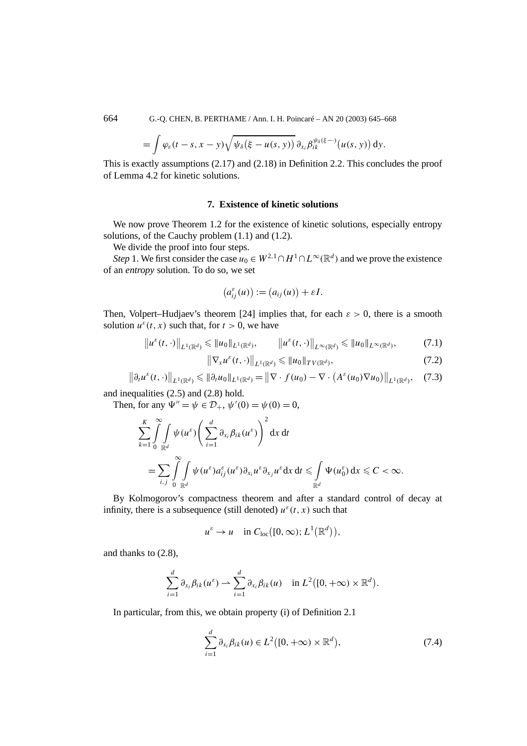664 G.-Q. CHEN, B. PERTHAME / Ann. I. H. Poincaré – AN 20 (2003) 645–668

$$
= \int \varphi_{\varepsilon}(t-s,x-y) \sqrt{\psi_{\delta}(\xi - u(s,y))} \, \partial_{x_i} \beta_{ik}^{\psi_{\delta}(\xi - \cdot)}(u(s,y)) \, dy.
$$

This is exactly assumptions (2.17) and (2.18) in Definition 2.2. This concludes the proof of Lemma 4.2 for kinetic solutions.

## **7. Existence of kinetic solutions**

We now prove Theorem 1.2 for the existence of kinetic solutions, especially entropy solutions, of the Cauchy problem (1.1) and (1.2).

We divide the proof into four steps.

*Step* 1. We first consider the case  $u_0 \in W^{2,1} \cap H^1 \cap L^\infty(\mathbb{R}^d)$  and we prove the existence of an *entropy* solution. To do so, we set

$$
(a_{ij}^{\varepsilon}(u)) := (a_{ij}(u)) + \varepsilon I.
$$

Then, Volpert–Hudjaev's theorem [24] implies that, for each  $\varepsilon > 0$ , there is a smooth solution  $u^{\varepsilon}(t, x)$  such that, for  $t > 0$ , we have

$$
\left\|u^{\varepsilon}(t,\cdot)\right\|_{L^{1}(\mathbb{R}^{d})}\leqslant\|u_{0}\|_{L^{1}(\mathbb{R}^{d})},\qquad\left\|u^{\varepsilon}(t,\cdot)\right\|_{L^{\infty}(\mathbb{R}^{d})}\leqslant\|u_{0}\|_{L^{\infty}(\mathbb{R}^{d})},\tag{7.1}
$$

$$
\left\|\nabla_{x}u^{\varepsilon}(t,\cdot)\right\|_{L^{1}(\mathbb{R}^{d})}\leqslant\|u_{0}\|_{TV(\mathbb{R}^{d})},\tag{7.2}
$$

$$
\left\|\partial_t u^{\varepsilon}(t,\cdot)\right\|_{L^1(\mathbb{R}^d)} \leqslant \|\partial_t u_0\|_{L^1(\mathbb{R}^d)} = \left\|\nabla \cdot f(u_0) - \nabla \cdot \left(A^{\varepsilon}(u_0) \nabla u_0\right)\right\|_{L^1(\mathbb{R}^d)},\tag{7.3}
$$

and inequalities (2.5) and (2.8) hold.

Then, for any  $\Psi'' = \psi \in \mathcal{D}_+$ ,  $\psi'(0) = \psi(0) = 0$ ,

$$
\sum_{k=1}^K \int_{0}^{\infty} \int_{\mathbb{R}^d} \psi(u^{\varepsilon}) \left( \sum_{i=1}^d \partial_{x_i} \beta_{ik}(u^{\varepsilon}) \right)^2 dx dt
$$
  
= 
$$
\sum_{i,j} \int_{0}^{\infty} \int_{\mathbb{R}^d} \psi(u^{\varepsilon}) a_{ij}^{\varepsilon}(u^{\varepsilon}) \partial_{x_i} u^{\varepsilon} \partial_{x_j} u^{\varepsilon} dx dt \leq \int_{\mathbb{R}^d} \Psi(u_0^{\varepsilon}) dx \leq C < \infty.
$$

By Kolmogorov's compactness theorem and after a standard control of decay at infinity, there is a subsequence (still denoted)  $u^{\varepsilon}(t, x)$  such that

$$
u^{\varepsilon} \to u
$$
 in  $C_{loc}([0,\infty); L^{1}(\mathbb{R}^{d})),$ 

and thanks to (2.8),

$$
\sum_{i=1}^d \partial_{x_i} \beta_{ik}(u^{\varepsilon}) \rightharpoonup \sum_{i=1}^d \partial_{x_i} \beta_{ik}(u) \quad \text{in } L^2([0, +\infty) \times \mathbb{R}^d).
$$

In particular, from this, we obtain property (i) of Definition 2.1

$$
\sum_{i=1}^{d} \partial_{x_i} \beta_{ik}(u) \in L^2([0, +\infty) \times \mathbb{R}^d), \qquad (7.4)
$$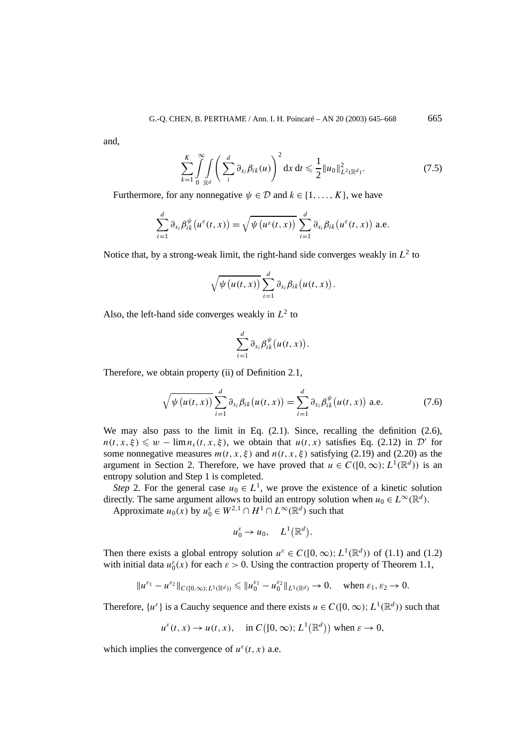and,

$$
\sum_{k=1}^{K} \int_{0}^{\infty} \int_{\mathbb{R}^{d}} \left( \sum_{i}^{d} \partial_{x_{i}} \beta_{ik}(u) \right)^{2} dx dt \leq \frac{1}{2} ||u_{0}||^{2}_{L^{2}(\mathbb{R}^{d})}. \tag{7.5}
$$

Furthermore, for any nonnegative  $\psi \in \mathcal{D}$  and  $k \in \{1, ..., K\}$ , we have

$$
\sum_{i=1}^d \partial_{x_i} \beta_{ik}^{\psi}(u^{\varepsilon}(t,x)) = \sqrt{\psi(u^{\varepsilon}(t,x))} \sum_{i=1}^d \partial_{x_i} \beta_{ik}(u^{\varepsilon}(t,x)) \text{ a.e.}
$$

Notice that, by a strong-weak limit, the right-hand side converges weakly in  $L^2$  to

$$
\sqrt{\psi(u(t,x))}\sum_{i=1}^d \partial_{x_i}\beta_{ik}(u(t,x)).
$$

Also, the left-hand side converges weakly in  $L^2$  to

$$
\sum_{i=1}^d \partial_{x_i} \beta_{ik}^{\psi}\big(u(t,x)\big).
$$

Therefore, we obtain property (ii) of Definition 2.1,

$$
\sqrt{\psi\left(u(t,x)\right)}\sum_{i=1}^{d}\partial_{x_i}\beta_{ik}\left(u(t,x)\right)=\sum_{i=1}^{d}\partial_{x_i}\beta_{ik}^{\psi}\left(u(t,x)\right)
$$
 a.e. (7.6)

We may also pass to the limit in Eq.  $(2.1)$ . Since, recalling the definition  $(2.6)$ ,  $n(t, x, \xi) \leq w - \lim_{\varepsilon \to 0} n_{\varepsilon}(t, x, \xi)$ , we obtain that  $u(t, x)$  satisfies Eq. (2.12) in D' for some nonnegative measures  $m(t, x, \xi)$  and  $n(t, x, \xi)$  satisfying (2.19) and (2.20) as the argument in Section 2. Therefore, we have proved that  $u \in C([0,\infty); L^1(\mathbb{R}^d))$  is an entropy solution and Step 1 is completed.

*Step* 2. For the general case  $u_0 \in L^1$ , we prove the existence of a kinetic solution directly. The same argument allows to build an entropy solution when  $u_0 \in L^\infty(\mathbb{R}^d)$ .

Approximate  $u_0(x)$  by  $u_0^{\varepsilon} \in W^{2,1} \cap H^1 \cap L^{\infty}(\mathbb{R}^d)$  such that

$$
u_0^{\varepsilon} \to u_0, \quad L^1(\mathbb{R}^d).
$$

Then there exists a global entropy solution  $u^{\varepsilon} \in C([0,\infty); L^1(\mathbb{R}^d))$  of (1.1) and (1.2) with initial data  $u_0^{\varepsilon}(x)$  for each  $\varepsilon > 0$ . Using the contraction property of Theorem 1.1,

$$
\|u^{\varepsilon_1}-u^{\varepsilon_2}\|_{C([0,\infty);L^1(\mathbb{R}^d))}\leqslant \|u_0^{\varepsilon_1}-u_0^{\varepsilon_2}\|_{L^1(\mathbb{R}^d)}\to 0,\quad\text{when }\varepsilon_1,\varepsilon_2\to 0.
$$

Therefore,  $\{u^{\varepsilon}\}\$ is a Cauchy sequence and there exists  $u \in C([0,\infty); L^1(\mathbb{R}^d))$  such that

$$
u^{\varepsilon}(t, x) \to u(t, x), \quad \text{in } C([0, \infty); L^{1}(\mathbb{R}^{d})) \text{ when } \varepsilon \to 0,
$$

which implies the convergence of  $u^{\varepsilon}(t, x)$  a.e.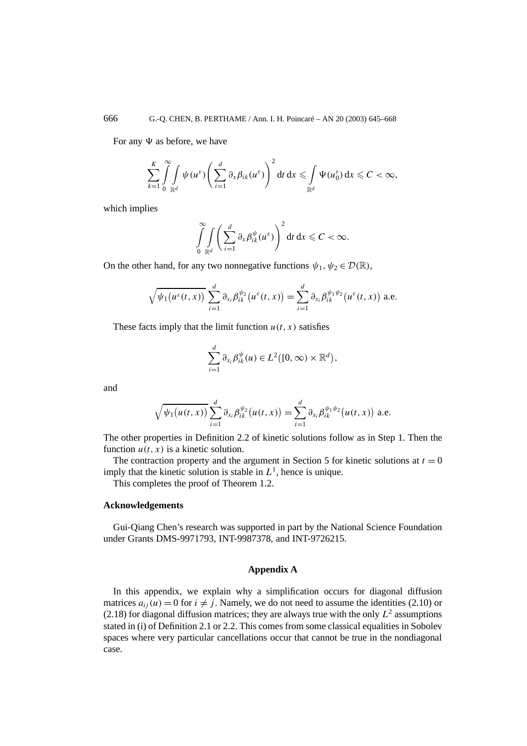For any  $\Psi$  as before, we have

$$
\sum_{k=1}^K \int_{0}^{\infty} \int_{\mathbb{R}^d} \psi(u^{\varepsilon}) \left( \sum_{i=1}^d \partial_x \beta_{ik}(u^{\varepsilon}) \right)^2 dt dx \leqslant \int_{\mathbb{R}^d} \Psi(u_0^{\varepsilon}) dx \leqslant C < \infty,
$$

which implies

$$
\int\limits_{0}^{\infty}\int\limits_{\mathbb{R}^d}\bigg(\sum_{i=1}^d\partial_x\beta_{ik}^{\psi}(u^{\varepsilon})\bigg)^2 dt dx \leqslant C < \infty.
$$

On the other hand, for any two nonnegative functions  $\psi_1, \psi_2 \in \mathcal{D}(\mathbb{R})$ ,

$$
\sqrt{\psi_1(u^{\varepsilon}(t,x))}\sum_{i=1}^d \partial_{x_i}\beta_{ik}^{\psi_2}(u^{\varepsilon}(t,x))=\sum_{i=1}^d \partial_{x_i}\beta_{ik}^{\psi_1\psi_2}(u^{\varepsilon}(t,x))
$$
 a.e.

These facts imply that the limit function  $u(t, x)$  satisfies

$$
\sum_{i=1}^d \partial_{x_i} \beta_{ik}^{\psi}(u) \in L^2([0,\infty) \times \mathbb{R}^d),
$$

and

$$
\sqrt{\psi_1(u(t,x))}\sum_{i=1}^d \partial_{x_i}\beta_{ik}^{\psi_2}(u(t,x)) = \sum_{i=1}^d \partial_{x_i}\beta_{ik}^{\psi_1\psi_2}(u(t,x)) \text{ a.e.}
$$

The other properties in Definition 2.2 of kinetic solutions follow as in Step 1. Then the function  $u(t, x)$  is a kinetic solution.

The contraction property and the argument in Section 5 for kinetic solutions at  $t = 0$ imply that the kinetic solution is stable in  $L^1$ , hence is unique.

This completes the proof of Theorem 1.2.

#### **Acknowledgements**

Gui-Qiang Chen's research was supported in part by the National Science Foundation under Grants DMS-9971793, INT-9987378, and INT-9726215.

## **Appendix A**

In this appendix, we explain why a simplification occurs for diagonal diffusion matrices  $a_{ij}(u) = 0$  for  $i \neq j$ . Namely, we do not need to assume the identities (2.10) or  $(2.18)$  for diagonal diffusion matrices; they are always true with the only  $L^2$  assumptions stated in (i) of Definition 2.1 or 2.2. This comes from some classical equalities in Sobolev spaces where very particular cancellations occur that cannot be true in the nondiagonal case.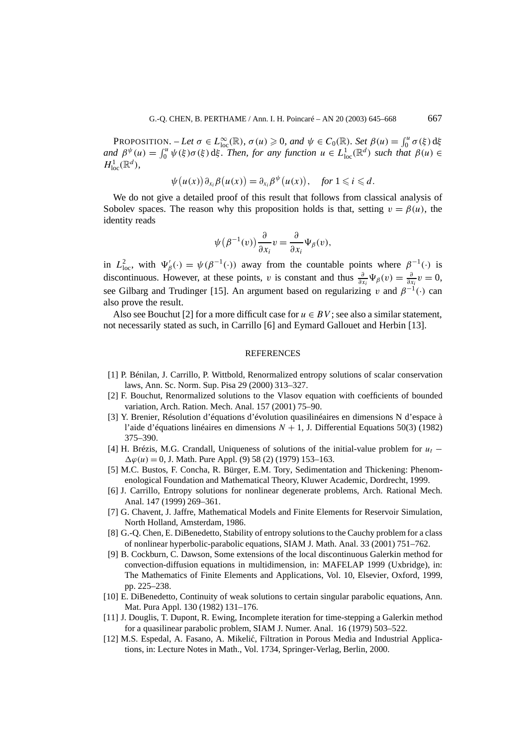$\mathsf{PROPOSITION.}$  – Let  $\sigma \in L^{\infty}_{loc}(\mathbb{R})$ *,*  $\sigma(u) \geq 0$ *, and*  $\psi \in C_0(\mathbb{R})$ *. Set*  $\beta(u) = \int_0^u \sigma(\xi) d\xi$ *and*  $\beta^{\psi}(u) = \int_0^u \psi(\xi) \sigma(\xi) d\xi$ . Then, for any function  $u \in L^1_{loc}(\mathbb{R}^d)$  such that  $\beta(u) \in$  $H^1_{\text{loc}}(\mathbb{R}^d)$ ,

$$
\psi(u(x))\partial_{x_i}\beta(u(x))=\partial_{x_i}\beta^{\psi}(u(x)), \quad \text{for } 1\leqslant i\leqslant d.
$$

We do not give a detailed proof of this result that follows from classical analysis of Sobolev spaces. The reason why this proposition holds is that, setting  $v = \beta(u)$ , the identity reads

$$
\psi(\beta^{-1}(v))\frac{\partial}{\partial x_i}v=\frac{\partial}{\partial x_i}\Psi_\beta(v),
$$

in  $L^2_{loc}$ , with  $\Psi'_\beta(\cdot) = \psi(\beta^{-1}(\cdot))$  away from the countable points where  $\beta^{-1}(\cdot)$  is discontinuous. However, at these points, *v* is constant and thus  $\frac{\partial}{\partial x_i} \Psi_\beta(v) = \frac{\partial}{\partial x_i} v = 0$ , see Gilbarg and Trudinger [15]. An argument based on regularizing *v* and  $\beta^{-1}(\cdot)$  can also prove the result.

Also see Bouchut [2] for a more difficult case for  $u \in BV$ ; see also a similar statement, not necessarily stated as such, in Carrillo [6] and Eymard Gallouet and Herbin [13].

#### **REFERENCES**

- [1] P. Bénilan, J. Carrillo, P. Wittbold, Renormalized entropy solutions of scalar conservation laws, Ann. Sc. Norm. Sup. Pisa 29 (2000) 313–327.
- [2] F. Bouchut, Renormalized solutions to the Vlasov equation with coefficients of bounded variation, Arch. Ration. Mech. Anal. 157 (2001) 75–90.
- [3] Y. Brenier, Résolution d'équations d'évolution quasilinéaires en dimensions N d'espace à l'aide d'équations linéaires en dimensions *N* + 1, J. Differential Equations 50(3) (1982) 375–390.
- [4] H. Brézis, M.G. Crandall, Uniqueness of solutions of the initial-value problem for *ut* −  $\Delta\varphi(u) = 0$ , J. Math. Pure Appl. (9) 58 (2) (1979) 153–163.
- [5] M.C. Bustos, F. Concha, R. Bürger, E.M. Tory, Sedimentation and Thickening: Phenomenological Foundation and Mathematical Theory, Kluwer Academic, Dordrecht, 1999.
- [6] J. Carrillo, Entropy solutions for nonlinear degenerate problems, Arch. Rational Mech. Anal. 147 (1999) 269–361.
- [7] G. Chavent, J. Jaffre, Mathematical Models and Finite Elements for Reservoir Simulation, North Holland, Amsterdam, 1986.
- [8] G.-Q. Chen, E. DiBenedetto, Stability of entropy solutions to the Cauchy problem for a class of nonlinear hyperbolic-parabolic equations, SIAM J. Math. Anal. 33 (2001) 751–762.
- [9] B. Cockburn, C. Dawson, Some extensions of the local discontinuous Galerkin method for convection-diffusion equations in multidimension, in: MAFELAP 1999 (Uxbridge), in: The Mathematics of Finite Elements and Applications, Vol. 10, Elsevier, Oxford, 1999, pp. 225–238.
- [10] E. DiBenedetto, Continuity of weak solutions to certain singular parabolic equations, Ann. Mat. Pura Appl. 130 (1982) 131–176.
- [11] J. Douglis, T. Dupont, R. Ewing, Incomplete iteration for time-stepping a Galerkin method for a quasilinear parabolic problem, SIAM J. Numer. Anal. 16 (1979) 503–522.
- [12] M.S. Espedal, A. Fasano, A. Mikelic, Filtration in Porous Media and Industrial Applica- ´ tions, in: Lecture Notes in Math., Vol. 1734, Springer-Verlag, Berlin, 2000.